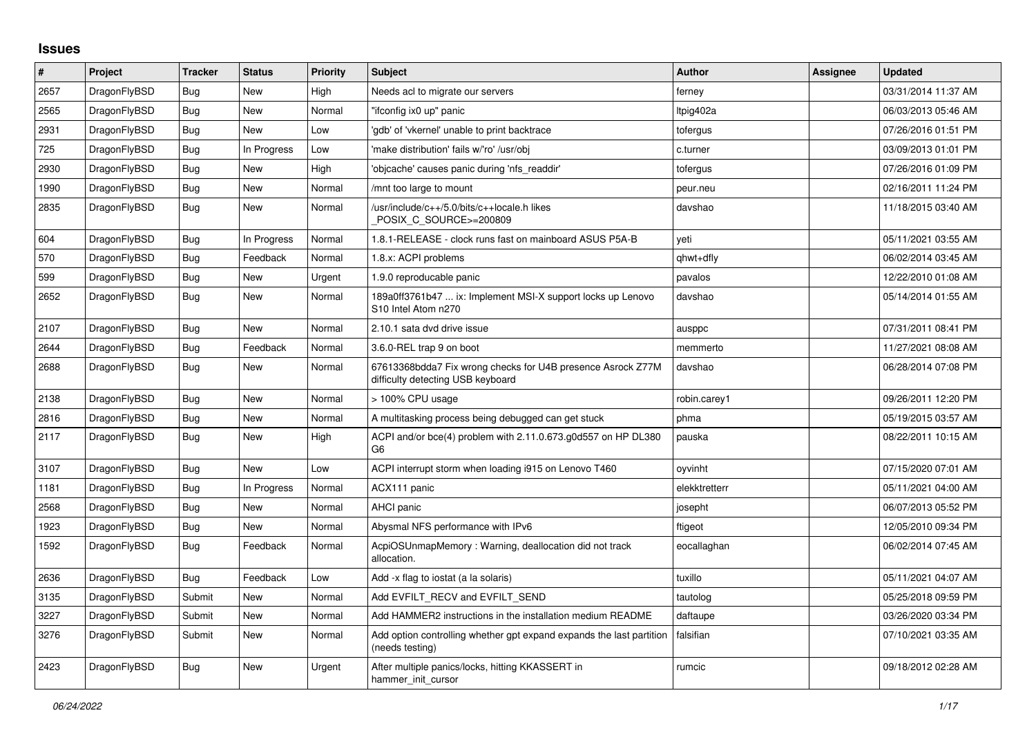## **Issues**

| $\sharp$ | <b>Project</b> | <b>Tracker</b> | <b>Status</b> | <b>Priority</b> | <b>Subject</b>                                                                                   | <b>Author</b> | <b>Assignee</b> | <b>Updated</b>      |
|----------|----------------|----------------|---------------|-----------------|--------------------------------------------------------------------------------------------------|---------------|-----------------|---------------------|
| 2657     | DragonFlyBSD   | Bug            | <b>New</b>    | High            | Needs acl to migrate our servers                                                                 | ferney        |                 | 03/31/2014 11:37 AM |
| 2565     | DragonFlyBSD   | <b>Bug</b>     | New           | Normal          | "ifconfig ix0 up" panic                                                                          | Itpig402a     |                 | 06/03/2013 05:46 AM |
| 2931     | DragonFlyBSD   | <b>Bug</b>     | New           | Low             | 'gdb' of 'vkernel' unable to print backtrace                                                     | tofergus      |                 | 07/26/2016 01:51 PM |
| 725      | DragonFlyBSD   | Bug            | In Progress   | Low             | 'make distribution' fails w/'ro' /usr/obj                                                        | c.turner      |                 | 03/09/2013 01:01 PM |
| 2930     | DragonFlyBSD   | <b>Bug</b>     | <b>New</b>    | High            | 'objcache' causes panic during 'nfs readdir'                                                     | tofergus      |                 | 07/26/2016 01:09 PM |
| 1990     | DragonFlyBSD   | Bug            | New           | Normal          | /mnt too large to mount                                                                          | peur.neu      |                 | 02/16/2011 11:24 PM |
| 2835     | DragonFlyBSD   | Bug            | New           | Normal          | /usr/include/c++/5.0/bits/c++locale.h likes<br>POSIX C SOURCE>=200809                            | davshao       |                 | 11/18/2015 03:40 AM |
| 604      | DragonFlyBSD   | Bug            | In Progress   | Normal          | 1.8.1-RELEASE - clock runs fast on mainboard ASUS P5A-B                                          | veti          |                 | 05/11/2021 03:55 AM |
| 570      | DragonFlyBSD   | Bug            | Feedback      | Normal          | 1.8.x: ACPI problems                                                                             | qhwt+dfly     |                 | 06/02/2014 03:45 AM |
| 599      | DragonFlyBSD   | <b>Bug</b>     | <b>New</b>    | Urgent          | 1.9.0 reproducable panic                                                                         | pavalos       |                 | 12/22/2010 01:08 AM |
| 2652     | DragonFlyBSD   | Bug            | New           | Normal          | 189a0ff3761b47  ix: Implement MSI-X support locks up Lenovo<br>S10 Intel Atom n270               | davshao       |                 | 05/14/2014 01:55 AM |
| 2107     | DragonFlyBSD   | <b>Bug</b>     | New           | Normal          | 2.10.1 sata dvd drive issue                                                                      | ausppc        |                 | 07/31/2011 08:41 PM |
| 2644     | DragonFlyBSD   | Bug            | Feedback      | Normal          | 3.6.0-REL trap 9 on boot                                                                         | memmerto      |                 | 11/27/2021 08:08 AM |
| 2688     | DragonFlyBSD   | <b>Bug</b>     | <b>New</b>    | Normal          | 67613368bdda7 Fix wrong checks for U4B presence Asrock Z77M<br>difficulty detecting USB keyboard | davshao       |                 | 06/28/2014 07:08 PM |
| 2138     | DragonFlyBSD   | Bug            | New           | Normal          | > 100% CPU usage                                                                                 | robin.carey1  |                 | 09/26/2011 12:20 PM |
| 2816     | DragonFlyBSD   | <b>Bug</b>     | New           | Normal          | A multitasking process being debugged can get stuck                                              | phma          |                 | 05/19/2015 03:57 AM |
| 2117     | DragonFlyBSD   | Bug            | New           | High            | ACPI and/or bce(4) problem with 2.11.0.673.g0d557 on HP DL380<br>G6                              | pauska        |                 | 08/22/2011 10:15 AM |
| 3107     | DragonFlyBSD   | <b>Bug</b>     | New           | Low             | ACPI interrupt storm when loading i915 on Lenovo T460                                            | oyvinht       |                 | 07/15/2020 07:01 AM |
| 1181     | DragonFlyBSD   | <b>Bug</b>     | In Progress   | Normal          | ACX111 panic                                                                                     | elekktretterr |                 | 05/11/2021 04:00 AM |
| 2568     | DragonFlyBSD   | Bug            | New           | Normal          | <b>AHCI</b> panic                                                                                | josepht       |                 | 06/07/2013 05:52 PM |
| 1923     | DragonFlyBSD   | Bug            | New           | Normal          | Abysmal NFS performance with IPv6                                                                | ftigeot       |                 | 12/05/2010 09:34 PM |
| 1592     | DragonFlyBSD   | Bug            | Feedback      | Normal          | AcpiOSUnmapMemory: Warning, deallocation did not track<br>allocation.                            | eocallaghan   |                 | 06/02/2014 07:45 AM |
| 2636     | DragonFlyBSD   | <b>Bug</b>     | Feedback      | Low             | Add -x flag to iostat (a la solaris)                                                             | tuxillo       |                 | 05/11/2021 04:07 AM |
| 3135     | DragonFlyBSD   | Submit         | New           | Normal          | Add EVFILT RECV and EVFILT SEND                                                                  | tautolog      |                 | 05/25/2018 09:59 PM |
| 3227     | DragonFlyBSD   | Submit         | New           | Normal          | Add HAMMER2 instructions in the installation medium README                                       | daftaupe      |                 | 03/26/2020 03:34 PM |
| 3276     | DragonFlyBSD   | Submit         | New           | Normal          | Add option controlling whether gpt expand expands the last partition<br>(needs testing)          | falsifian     |                 | 07/10/2021 03:35 AM |
| 2423     | DragonFlyBSD   | <b>Bug</b>     | New           | Urgent          | After multiple panics/locks, hitting KKASSERT in<br>hammer init cursor                           | rumcic        |                 | 09/18/2012 02:28 AM |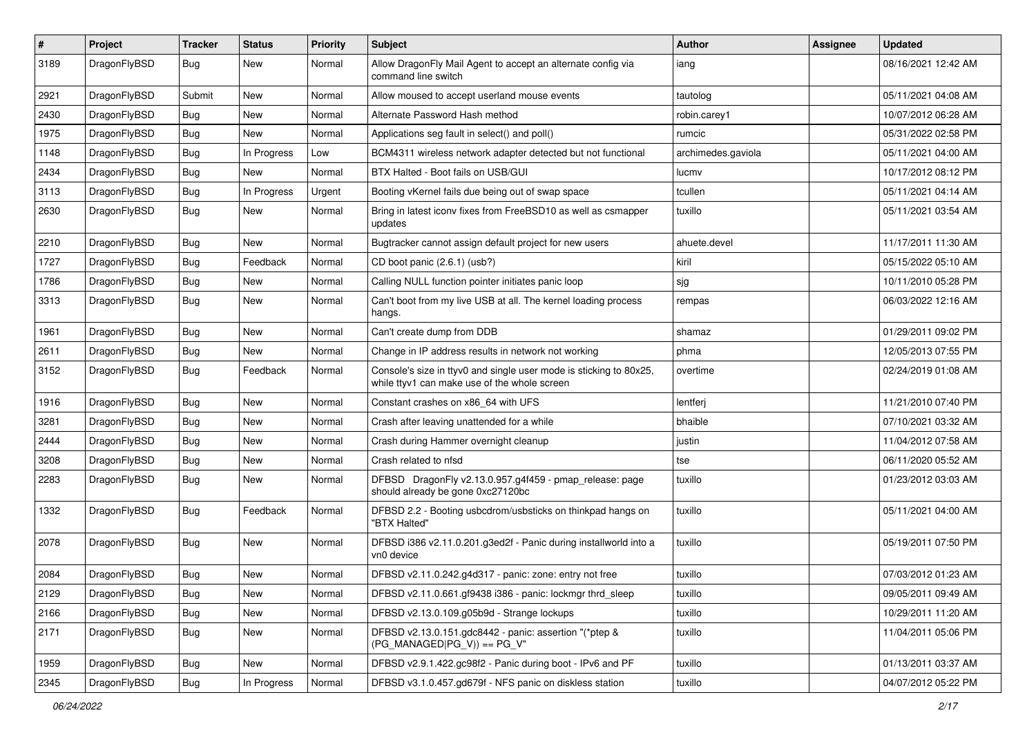| #    | Project      | <b>Tracker</b> | <b>Status</b> | <b>Priority</b> | Subject                                                                                                            | <b>Author</b>      | Assignee | <b>Updated</b>      |
|------|--------------|----------------|---------------|-----------------|--------------------------------------------------------------------------------------------------------------------|--------------------|----------|---------------------|
| 3189 | DragonFlyBSD | Bug            | New           | Normal          | Allow DragonFly Mail Agent to accept an alternate config via<br>command line switch                                | iang               |          | 08/16/2021 12:42 AM |
| 2921 | DragonFlyBSD | Submit         | New           | Normal          | Allow moused to accept userland mouse events                                                                       | tautolog           |          | 05/11/2021 04:08 AM |
| 2430 | DragonFlyBSD | Bug            | New           | Normal          | Alternate Password Hash method                                                                                     | robin.carey1       |          | 10/07/2012 06:28 AM |
| 1975 | DragonFlyBSD | Bug            | <b>New</b>    | Normal          | Applications seg fault in select() and poll()                                                                      | rumcic             |          | 05/31/2022 02:58 PM |
| 1148 | DragonFlyBSD | <b>Bug</b>     | In Progress   | Low             | BCM4311 wireless network adapter detected but not functional                                                       | archimedes.gaviola |          | 05/11/2021 04:00 AM |
| 2434 | DragonFlyBSD | Bug            | <b>New</b>    | Normal          | BTX Halted - Boot fails on USB/GUI                                                                                 | lucmv              |          | 10/17/2012 08:12 PM |
| 3113 | DragonFlyBSD | <b>Bug</b>     | In Progress   | Urgent          | Booting vKernel fails due being out of swap space                                                                  | tcullen            |          | 05/11/2021 04:14 AM |
| 2630 | DragonFlyBSD | Bug            | New           | Normal          | Bring in latest iconv fixes from FreeBSD10 as well as csmapper<br>updates                                          | tuxillo            |          | 05/11/2021 03:54 AM |
| 2210 | DragonFlyBSD | Bug            | <b>New</b>    | Normal          | Bugtracker cannot assign default project for new users                                                             | ahuete.devel       |          | 11/17/2011 11:30 AM |
| 1727 | DragonFlyBSD | <b>Bug</b>     | Feedback      | Normal          | CD boot panic (2.6.1) (usb?)                                                                                       | kiril              |          | 05/15/2022 05:10 AM |
| 1786 | DragonFlyBSD | Bug            | New           | Normal          | Calling NULL function pointer initiates panic loop                                                                 | sjg                |          | 10/11/2010 05:28 PM |
| 3313 | DragonFlyBSD | <b>Bug</b>     | <b>New</b>    | Normal          | Can't boot from my live USB at all. The kernel loading process<br>hangs.                                           | rempas             |          | 06/03/2022 12:16 AM |
| 1961 | DragonFlyBSD | Bug            | <b>New</b>    | Normal          | Can't create dump from DDB                                                                                         | shamaz             |          | 01/29/2011 09:02 PM |
| 2611 | DragonFlyBSD | <b>Bug</b>     | New           | Normal          | Change in IP address results in network not working                                                                | phma               |          | 12/05/2013 07:55 PM |
| 3152 | DragonFlyBSD | Bug            | Feedback      | Normal          | Console's size in ttyv0 and single user mode is sticking to 80x25,<br>while ttyv1 can make use of the whole screen | overtime           |          | 02/24/2019 01:08 AM |
| 1916 | DragonFlyBSD | Bug            | <b>New</b>    | Normal          | Constant crashes on x86_64 with UFS                                                                                | lentferj           |          | 11/21/2010 07:40 PM |
| 3281 | DragonFlyBSD | Bug            | <b>New</b>    | Normal          | Crash after leaving unattended for a while                                                                         | bhaible            |          | 07/10/2021 03:32 AM |
| 2444 | DragonFlyBSD | Bug            | New           | Normal          | Crash during Hammer overnight cleanup                                                                              | justin             |          | 11/04/2012 07:58 AM |
| 3208 | DragonFlyBSD | Bug            | <b>New</b>    | Normal          | Crash related to nfsd                                                                                              | tse                |          | 06/11/2020 05:52 AM |
| 2283 | DragonFlyBSD | Bug            | <b>New</b>    | Normal          | DFBSD DragonFly v2.13.0.957.g4f459 - pmap_release: page<br>should already be gone 0xc27120bc                       | tuxillo            |          | 01/23/2012 03:03 AM |
| 1332 | DragonFlyBSD | <b>Bug</b>     | Feedback      | Normal          | DFBSD 2.2 - Booting usbcdrom/usbsticks on thinkpad hangs on<br>"BTX Halted"                                        | tuxillo            |          | 05/11/2021 04:00 AM |
| 2078 | DragonFlyBSD | Bug            | New           | Normal          | DFBSD i386 v2.11.0.201.g3ed2f - Panic during installworld into a<br>vn0 device                                     | tuxillo            |          | 05/19/2011 07:50 PM |
| 2084 | DragonFlyBSD | Bug            | New           | Normal          | DFBSD v2.11.0.242.g4d317 - panic: zone: entry not free                                                             | tuxillo            |          | 07/03/2012 01:23 AM |
| 2129 | DragonFlyBSD | Bug            | New           | Normal          | DFBSD v2.11.0.661.gf9438 i386 - panic: lockmgr thrd_sleep                                                          | tuxillo            |          | 09/05/2011 09:49 AM |
| 2166 | DragonFlyBSD | Bug            | New           | Normal          | DFBSD v2.13.0.109.g05b9d - Strange lockups                                                                         | tuxillo            |          | 10/29/2011 11:20 AM |
| 2171 | DragonFlyBSD | Bug            | New           | Normal          | DFBSD v2.13.0.151.gdc8442 - panic: assertion "(*ptep &<br>$(PG$ MANAGED PG V)) == PG V"                            | tuxillo            |          | 11/04/2011 05:06 PM |
| 1959 | DragonFlyBSD | Bug            | New           | Normal          | DFBSD v2.9.1.422.gc98f2 - Panic during boot - IPv6 and PF                                                          | tuxillo            |          | 01/13/2011 03:37 AM |
| 2345 | DragonFlyBSD | <b>Bug</b>     | In Progress   | Normal          | DFBSD v3.1.0.457.gd679f - NFS panic on diskless station                                                            | tuxillo            |          | 04/07/2012 05:22 PM |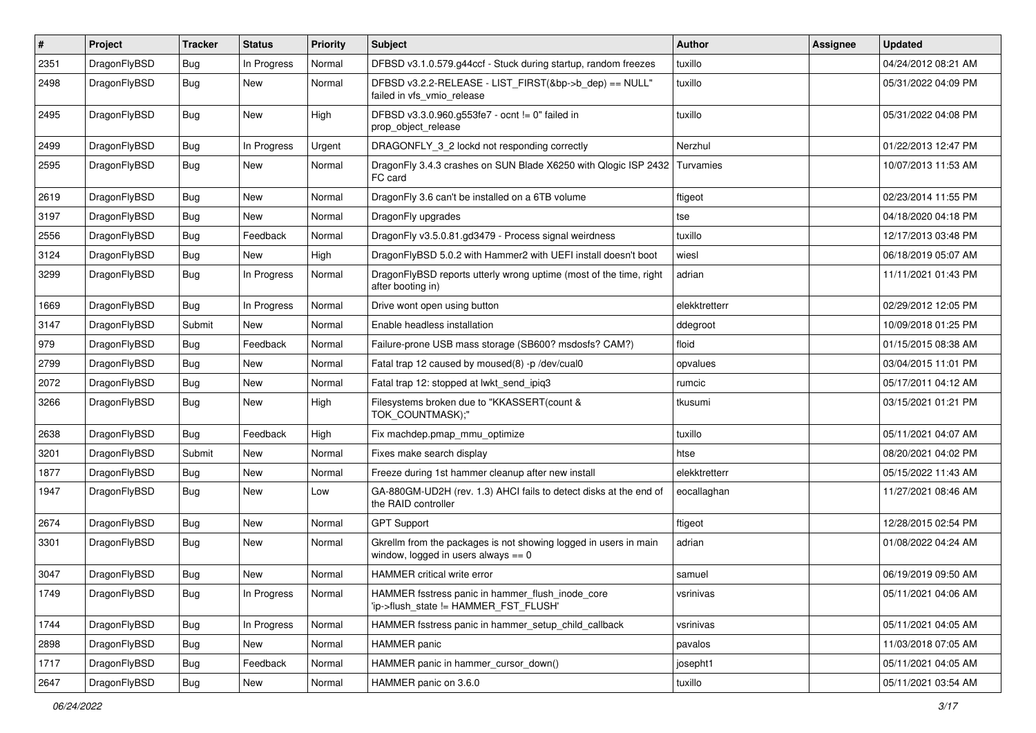| #    | Project      | <b>Tracker</b> | <b>Status</b> | <b>Priority</b> | <b>Subject</b>                                                                                            | Author           | Assignee | <b>Updated</b>      |
|------|--------------|----------------|---------------|-----------------|-----------------------------------------------------------------------------------------------------------|------------------|----------|---------------------|
| 2351 | DragonFlyBSD | Bug            | In Progress   | Normal          | DFBSD v3.1.0.579.g44ccf - Stuck during startup, random freezes                                            | tuxillo          |          | 04/24/2012 08:21 AM |
| 2498 | DragonFlyBSD | <b>Bug</b>     | New           | Normal          | DFBSD v3.2.2-RELEASE - LIST_FIRST(&bp->b_dep) == NULL"<br>failed in vfs vmio release                      | tuxillo          |          | 05/31/2022 04:09 PM |
| 2495 | DragonFlyBSD | Bug            | <b>New</b>    | High            | DFBSD v3.3.0.960.g553fe7 - ocnt != 0" failed in<br>prop object release                                    | tuxillo          |          | 05/31/2022 04:08 PM |
| 2499 | DragonFlyBSD | <b>Bug</b>     | In Progress   | Urgent          | DRAGONFLY_3_2 lockd not responding correctly                                                              | Nerzhul          |          | 01/22/2013 12:47 PM |
| 2595 | DragonFlyBSD | Bug            | New           | Normal          | DragonFly 3.4.3 crashes on SUN Blade X6250 with Qlogic ISP 2432<br>FC card                                | <b>Turvamies</b> |          | 10/07/2013 11:53 AM |
| 2619 | DragonFlyBSD | Bug            | <b>New</b>    | Normal          | DragonFly 3.6 can't be installed on a 6TB volume                                                          | ftigeot          |          | 02/23/2014 11:55 PM |
| 3197 | DragonFlyBSD | Bug            | <b>New</b>    | Normal          | DragonFly upgrades                                                                                        | tse              |          | 04/18/2020 04:18 PM |
| 2556 | DragonFlyBSD | Bug            | Feedback      | Normal          | DragonFly v3.5.0.81.gd3479 - Process signal weirdness                                                     | tuxillo          |          | 12/17/2013 03:48 PM |
| 3124 | DragonFlyBSD | <b>Bug</b>     | New           | High            | DragonFlyBSD 5.0.2 with Hammer2 with UEFI install doesn't boot                                            | wiesl            |          | 06/18/2019 05:07 AM |
| 3299 | DragonFlyBSD | Bug            | In Progress   | Normal          | DragonFlyBSD reports utterly wrong uptime (most of the time, right<br>after booting in)                   | adrian           |          | 11/11/2021 01:43 PM |
| 1669 | DragonFlyBSD | Bug            | In Progress   | Normal          | Drive wont open using button                                                                              | elekktretterr    |          | 02/29/2012 12:05 PM |
| 3147 | DragonFlyBSD | Submit         | New           | Normal          | Enable headless installation                                                                              | ddegroot         |          | 10/09/2018 01:25 PM |
| 979  | DragonFlyBSD | Bug            | Feedback      | Normal          | Failure-prone USB mass storage (SB600? msdosfs? CAM?)                                                     | floid            |          | 01/15/2015 08:38 AM |
| 2799 | DragonFlyBSD | Bug            | <b>New</b>    | Normal          | Fatal trap 12 caused by moused(8) -p/dev/cual0                                                            | opvalues         |          | 03/04/2015 11:01 PM |
| 2072 | DragonFlyBSD | Bug            | <b>New</b>    | Normal          | Fatal trap 12: stopped at lwkt_send_ipiq3                                                                 | rumcic           |          | 05/17/2011 04:12 AM |
| 3266 | DragonFlyBSD | Bug            | New           | High            | Filesystems broken due to "KKASSERT(count &<br>TOK_COUNTMASK);"                                           | tkusumi          |          | 03/15/2021 01:21 PM |
| 2638 | DragonFlyBSD | Bug            | Feedback      | High            | Fix machdep.pmap_mmu_optimize                                                                             | tuxillo          |          | 05/11/2021 04:07 AM |
| 3201 | DragonFlyBSD | Submit         | <b>New</b>    | Normal          | Fixes make search display                                                                                 | htse             |          | 08/20/2021 04:02 PM |
| 1877 | DragonFlyBSD | Bug            | <b>New</b>    | Normal          | Freeze during 1st hammer cleanup after new install                                                        | elekktretterr    |          | 05/15/2022 11:43 AM |
| 1947 | DragonFlyBSD | Bug            | New           | Low             | GA-880GM-UD2H (rev. 1.3) AHCI fails to detect disks at the end of<br>the RAID controller                  | eocallaghan      |          | 11/27/2021 08:46 AM |
| 2674 | DragonFlyBSD | Bug            | <b>New</b>    | Normal          | <b>GPT Support</b>                                                                                        | ftigeot          |          | 12/28/2015 02:54 PM |
| 3301 | DragonFlyBSD | Bug            | New           | Normal          | Gkrellm from the packages is not showing logged in users in main<br>window, logged in users always $== 0$ | adrian           |          | 01/08/2022 04:24 AM |
| 3047 | DragonFlyBSD | Bug            | <b>New</b>    | Normal          | HAMMER critical write error                                                                               | samuel           |          | 06/19/2019 09:50 AM |
| 1749 | DragonFlyBSD | Bug            | In Progress   | Normal          | HAMMER fsstress panic in hammer_flush_inode_core<br>'ip->flush_state != HAMMER_FST_FLUSH'                 | vsrinivas        |          | 05/11/2021 04:06 AM |
| 1744 | DragonFlyBSD | <b>Bug</b>     | In Progress   | Normal          | HAMMER fsstress panic in hammer_setup_child_callback                                                      | vsrinivas        |          | 05/11/2021 04:05 AM |
| 2898 | DragonFlyBSD | Bug            | New           | Normal          | <b>HAMMER</b> panic                                                                                       | pavalos          |          | 11/03/2018 07:05 AM |
| 1717 | DragonFlyBSD | Bug            | Feedback      | Normal          | HAMMER panic in hammer_cursor_down()                                                                      | josepht1         |          | 05/11/2021 04:05 AM |
| 2647 | DragonFlyBSD | Bug            | New           | Normal          | HAMMER panic on 3.6.0                                                                                     | tuxillo          |          | 05/11/2021 03:54 AM |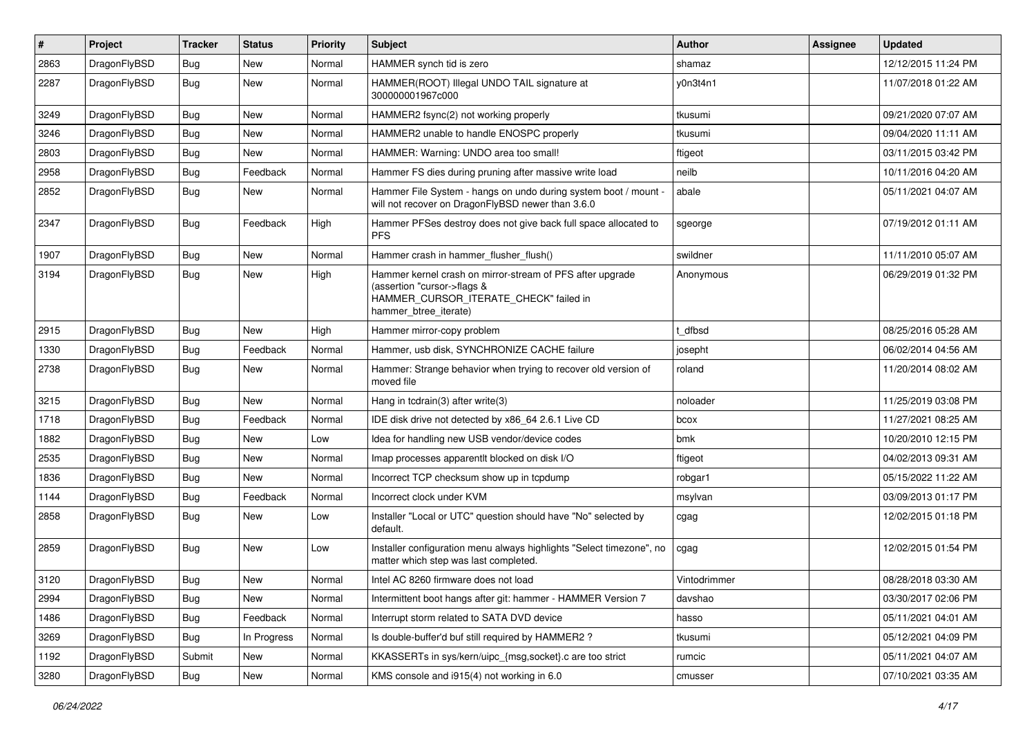| $\pmb{\#}$ | Project      | <b>Tracker</b> | <b>Status</b> | <b>Priority</b> | Subject                                                                                                                                                     | Author       | Assignee | <b>Updated</b>      |
|------------|--------------|----------------|---------------|-----------------|-------------------------------------------------------------------------------------------------------------------------------------------------------------|--------------|----------|---------------------|
| 2863       | DragonFlyBSD | Bug            | <b>New</b>    | Normal          | HAMMER synch tid is zero                                                                                                                                    | shamaz       |          | 12/12/2015 11:24 PM |
| 2287       | DragonFlyBSD | <b>Bug</b>     | New           | Normal          | HAMMER(ROOT) Illegal UNDO TAIL signature at<br>300000001967c000                                                                                             | y0n3t4n1     |          | 11/07/2018 01:22 AM |
| 3249       | DragonFlyBSD | Bug            | <b>New</b>    | Normal          | HAMMER2 fsync(2) not working properly                                                                                                                       | tkusumi      |          | 09/21/2020 07:07 AM |
| 3246       | DragonFlyBSD | <b>Bug</b>     | <b>New</b>    | Normal          | HAMMER2 unable to handle ENOSPC properly                                                                                                                    | tkusumi      |          | 09/04/2020 11:11 AM |
| 2803       | DragonFlyBSD | <b>Bug</b>     | New           | Normal          | HAMMER: Warning: UNDO area too small!                                                                                                                       | ftigeot      |          | 03/11/2015 03:42 PM |
| 2958       | DragonFlyBSD | <b>Bug</b>     | Feedback      | Normal          | Hammer FS dies during pruning after massive write load                                                                                                      | neilb        |          | 10/11/2016 04:20 AM |
| 2852       | DragonFlyBSD | Bug            | New           | Normal          | Hammer File System - hangs on undo during system boot / mount -<br>will not recover on DragonFlyBSD newer than 3.6.0                                        | abale        |          | 05/11/2021 04:07 AM |
| 2347       | DragonFlyBSD | Bug            | Feedback      | High            | Hammer PFSes destroy does not give back full space allocated to<br><b>PFS</b>                                                                               | sgeorge      |          | 07/19/2012 01:11 AM |
| 1907       | DragonFlyBSD | Bug            | <b>New</b>    | Normal          | Hammer crash in hammer_flusher_flush()                                                                                                                      | swildner     |          | 11/11/2010 05:07 AM |
| 3194       | DragonFlyBSD | Bug            | <b>New</b>    | High            | Hammer kernel crash on mirror-stream of PFS after upgrade<br>(assertion "cursor->flags &<br>HAMMER_CURSOR_ITERATE_CHECK" failed in<br>hammer_btree_iterate) | Anonymous    |          | 06/29/2019 01:32 PM |
| 2915       | DragonFlyBSD | <b>Bug</b>     | New           | High            | Hammer mirror-copy problem                                                                                                                                  | t dfbsd      |          | 08/25/2016 05:28 AM |
| 1330       | DragonFlyBSD | Bug            | Feedback      | Normal          | Hammer, usb disk, SYNCHRONIZE CACHE failure                                                                                                                 | josepht      |          | 06/02/2014 04:56 AM |
| 2738       | DragonFlyBSD | Bug            | New           | Normal          | Hammer: Strange behavior when trying to recover old version of<br>moved file                                                                                | roland       |          | 11/20/2014 08:02 AM |
| 3215       | DragonFlyBSD | <b>Bug</b>     | New           | Normal          | Hang in tcdrain(3) after write(3)                                                                                                                           | noloader     |          | 11/25/2019 03:08 PM |
| 1718       | DragonFlyBSD | <b>Bug</b>     | Feedback      | Normal          | IDE disk drive not detected by x86_64 2.6.1 Live CD                                                                                                         | bcox         |          | 11/27/2021 08:25 AM |
| 1882       | DragonFlyBSD | Bug            | New           | Low             | Idea for handling new USB vendor/device codes                                                                                                               | bmk          |          | 10/20/2010 12:15 PM |
| 2535       | DragonFlyBSD | <b>Bug</b>     | <b>New</b>    | Normal          | Imap processes apparentlt blocked on disk I/O                                                                                                               | ftigeot      |          | 04/02/2013 09:31 AM |
| 1836       | DragonFlyBSD | <b>Bug</b>     | New           | Normal          | Incorrect TCP checksum show up in tcpdump                                                                                                                   | robgar1      |          | 05/15/2022 11:22 AM |
| 1144       | DragonFlyBSD | <b>Bug</b>     | Feedback      | Normal          | Incorrect clock under KVM                                                                                                                                   | msylvan      |          | 03/09/2013 01:17 PM |
| 2858       | DragonFlyBSD | Bug            | New           | Low             | Installer "Local or UTC" question should have "No" selected by<br>default.                                                                                  | cgag         |          | 12/02/2015 01:18 PM |
| 2859       | DragonFlyBSD | Bug            | New           | Low             | Installer configuration menu always highlights "Select timezone", no<br>matter which step was last completed.                                               | cgag         |          | 12/02/2015 01:54 PM |
| 3120       | DragonFlyBSD | Bug            | New           | Normal          | Intel AC 8260 firmware does not load                                                                                                                        | Vintodrimmer |          | 08/28/2018 03:30 AM |
| 2994       | DragonFlyBSD | Bug            | New           | Normal          | Intermittent boot hangs after git: hammer - HAMMER Version 7                                                                                                | davshao      |          | 03/30/2017 02:06 PM |
| 1486       | DragonFlyBSD | Bug            | Feedback      | Normal          | Interrupt storm related to SATA DVD device                                                                                                                  | hasso        |          | 05/11/2021 04:01 AM |
| 3269       | DragonFlyBSD | Bug            | In Progress   | Normal          | Is double-buffer'd buf still required by HAMMER2?                                                                                                           | tkusumi      |          | 05/12/2021 04:09 PM |
| 1192       | DragonFlyBSD | Submit         | New           | Normal          | KKASSERTs in sys/kern/uipc_{msg,socket}.c are too strict                                                                                                    | rumcic       |          | 05/11/2021 04:07 AM |
| 3280       | DragonFlyBSD | Bug            | New           | Normal          | KMS console and i915(4) not working in 6.0                                                                                                                  | cmusser      |          | 07/10/2021 03:35 AM |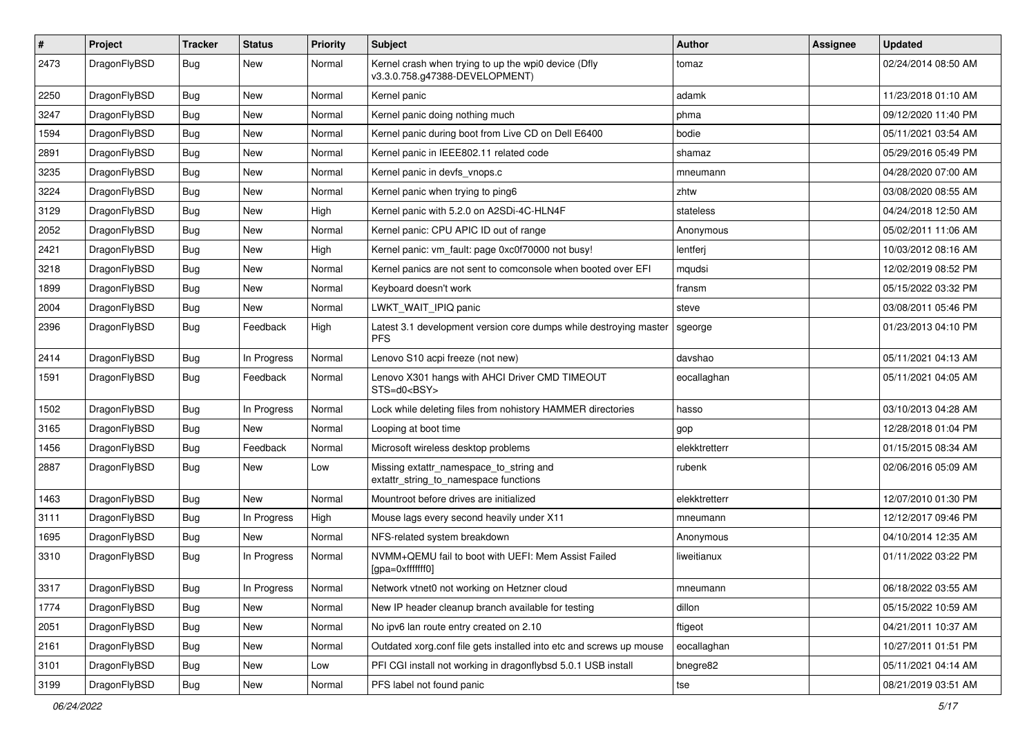| $\sharp$ | Project      | <b>Tracker</b> | <b>Status</b> | <b>Priority</b> | Subject                                                                                | <b>Author</b> | <b>Assignee</b> | <b>Updated</b>      |
|----------|--------------|----------------|---------------|-----------------|----------------------------------------------------------------------------------------|---------------|-----------------|---------------------|
| 2473     | DragonFlyBSD | Bug            | New           | Normal          | Kernel crash when trying to up the wpi0 device (Dfly<br>v3.3.0.758.g47388-DEVELOPMENT) | tomaz         |                 | 02/24/2014 08:50 AM |
| 2250     | DragonFlyBSD | Bug            | <b>New</b>    | Normal          | Kernel panic                                                                           | adamk         |                 | 11/23/2018 01:10 AM |
| 3247     | DragonFlyBSD | Bug            | New           | Normal          | Kernel panic doing nothing much                                                        | phma          |                 | 09/12/2020 11:40 PM |
| 1594     | DragonFlyBSD | Bug            | <b>New</b>    | Normal          | Kernel panic during boot from Live CD on Dell E6400                                    | bodie         |                 | 05/11/2021 03:54 AM |
| 2891     | DragonFlyBSD | Bug            | New           | Normal          | Kernel panic in IEEE802.11 related code                                                | shamaz        |                 | 05/29/2016 05:49 PM |
| 3235     | DragonFlyBSD | Bug            | New           | Normal          | Kernel panic in devfs_vnops.c                                                          | mneumann      |                 | 04/28/2020 07:00 AM |
| 3224     | DragonFlyBSD | Bug            | New           | Normal          | Kernel panic when trying to ping6                                                      | zhtw          |                 | 03/08/2020 08:55 AM |
| 3129     | DragonFlyBSD | Bug            | New           | High            | Kernel panic with 5.2.0 on A2SDi-4C-HLN4F                                              | stateless     |                 | 04/24/2018 12:50 AM |
| 2052     | DragonFlyBSD | Bug            | <b>New</b>    | Normal          | Kernel panic: CPU APIC ID out of range                                                 | Anonymous     |                 | 05/02/2011 11:06 AM |
| 2421     | DragonFlyBSD | Bug            | New           | High            | Kernel panic: vm fault: page 0xc0f70000 not busy!                                      | lentferj      |                 | 10/03/2012 08:16 AM |
| 3218     | DragonFlyBSD | Bug            | New           | Normal          | Kernel panics are not sent to comconsole when booted over EFI                          | mqudsi        |                 | 12/02/2019 08:52 PM |
| 1899     | DragonFlyBSD | Bug            | New           | Normal          | Keyboard doesn't work                                                                  | fransm        |                 | 05/15/2022 03:32 PM |
| 2004     | DragonFlyBSD | Bug            | New           | Normal          | LWKT_WAIT_IPIQ panic                                                                   | steve         |                 | 03/08/2011 05:46 PM |
| 2396     | DragonFlyBSD | Bug            | Feedback      | High            | Latest 3.1 development version core dumps while destroying master<br><b>PFS</b>        | sgeorge       |                 | 01/23/2013 04:10 PM |
| 2414     | DragonFlyBSD | Bug            | In Progress   | Normal          | Lenovo S10 acpi freeze (not new)                                                       | davshao       |                 | 05/11/2021 04:13 AM |
| 1591     | DragonFlyBSD | Bug            | Feedback      | Normal          | Lenovo X301 hangs with AHCI Driver CMD TIMEOUT<br>STS=d0 <bsy></bsy>                   | eocallaghan   |                 | 05/11/2021 04:05 AM |
| 1502     | DragonFlyBSD | Bug            | In Progress   | Normal          | Lock while deleting files from nohistory HAMMER directories                            | hasso         |                 | 03/10/2013 04:28 AM |
| 3165     | DragonFlyBSD | Bug            | New           | Normal          | Looping at boot time                                                                   | gop           |                 | 12/28/2018 01:04 PM |
| 1456     | DragonFlyBSD | Bug            | Feedback      | Normal          | Microsoft wireless desktop problems                                                    | elekktretterr |                 | 01/15/2015 08:34 AM |
| 2887     | DragonFlyBSD | Bug            | <b>New</b>    | Low             | Missing extattr_namespace_to_string and<br>extattr string to namespace functions       | rubenk        |                 | 02/06/2016 05:09 AM |
| 1463     | DragonFlyBSD | Bug            | New           | Normal          | Mountroot before drives are initialized                                                | elekktretterr |                 | 12/07/2010 01:30 PM |
| 3111     | DragonFlyBSD | Bug            | In Progress   | High            | Mouse lags every second heavily under X11                                              | mneumann      |                 | 12/12/2017 09:46 PM |
| 1695     | DragonFlyBSD | Bug            | New           | Normal          | NFS-related system breakdown                                                           | Anonymous     |                 | 04/10/2014 12:35 AM |
| 3310     | DragonFlyBSD | Bug            | In Progress   | Normal          | NVMM+QEMU fail to boot with UEFI: Mem Assist Failed<br>[gpa=0xfffffff0]                | liweitianux   |                 | 01/11/2022 03:22 PM |
| 13317    | DragonFlyBSD | <b>Bug</b>     | In Progress   | Normal          | Network vtnet0 not working on Hetzner cloud                                            | mneumann      |                 | 06/18/2022 03:55 AM |
| 1774     | DragonFlyBSD | <b>Bug</b>     | New           | Normal          | New IP header cleanup branch available for testing                                     | dillon        |                 | 05/15/2022 10:59 AM |
| 2051     | DragonFlyBSD | <b>Bug</b>     | New           | Normal          | No ipv6 lan route entry created on 2.10                                                | ftigeot       |                 | 04/21/2011 10:37 AM |
| 2161     | DragonFlyBSD | <b>Bug</b>     | New           | Normal          | Outdated xorg.conf file gets installed into etc and screws up mouse                    | eocallaghan   |                 | 10/27/2011 01:51 PM |
| 3101     | DragonFlyBSD | <b>Bug</b>     | <b>New</b>    | Low             | PFI CGI install not working in dragonflybsd 5.0.1 USB install                          | bnegre82      |                 | 05/11/2021 04:14 AM |
| 3199     | DragonFlyBSD | <b>Bug</b>     | New           | Normal          | PFS label not found panic                                                              | tse           |                 | 08/21/2019 03:51 AM |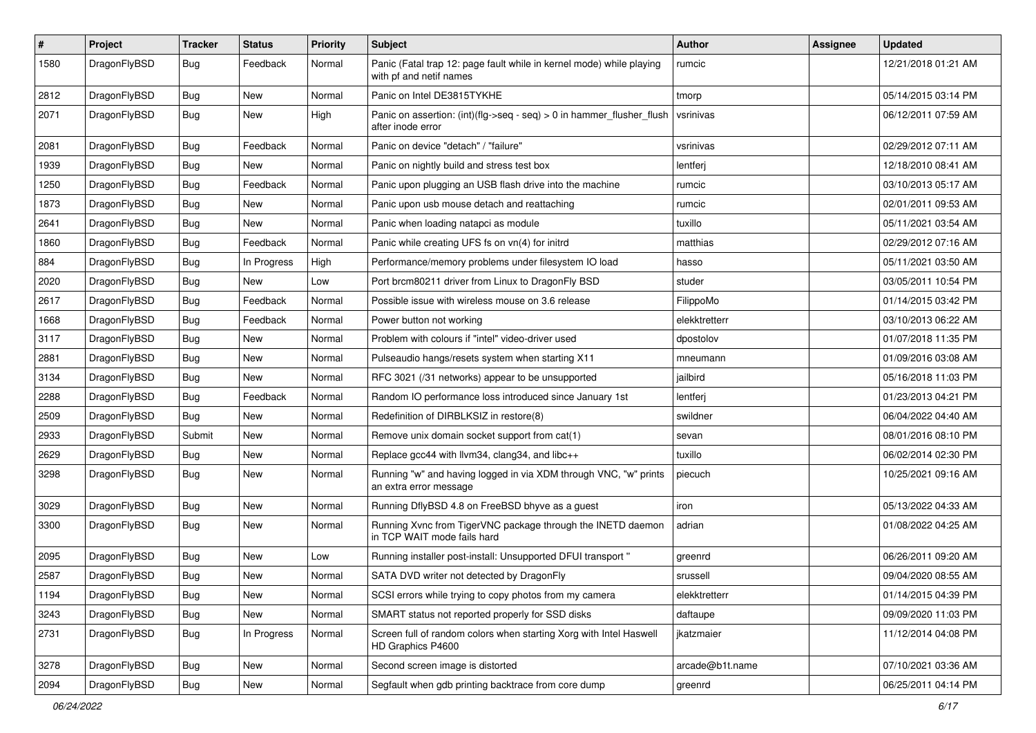| $\pmb{\#}$ | Project      | <b>Tracker</b> | <b>Status</b> | <b>Priority</b> | <b>Subject</b>                                                                                  | Author          | <b>Assignee</b> | <b>Updated</b>      |
|------------|--------------|----------------|---------------|-----------------|-------------------------------------------------------------------------------------------------|-----------------|-----------------|---------------------|
| 1580       | DragonFlyBSD | Bug            | Feedback      | Normal          | Panic (Fatal trap 12: page fault while in kernel mode) while playing<br>with pf and netif names | rumcic          |                 | 12/21/2018 01:21 AM |
| 2812       | DragonFlyBSD | Bug            | <b>New</b>    | Normal          | Panic on Intel DE3815TYKHE                                                                      | tmorp           |                 | 05/14/2015 03:14 PM |
| 2071       | DragonFlyBSD | Bug            | New           | High            | Panic on assertion: (int)(flg->seq - seq) > 0 in hammer_flusher_flush<br>after inode error      | vsrinivas       |                 | 06/12/2011 07:59 AM |
| 2081       | DragonFlyBSD | Bug            | Feedback      | Normal          | Panic on device "detach" / "failure"                                                            | vsrinivas       |                 | 02/29/2012 07:11 AM |
| 1939       | DragonFlyBSD | Bug            | New           | Normal          | Panic on nightly build and stress test box                                                      | lentferj        |                 | 12/18/2010 08:41 AM |
| 1250       | DragonFlyBSD | Bug            | Feedback      | Normal          | Panic upon plugging an USB flash drive into the machine                                         | rumcic          |                 | 03/10/2013 05:17 AM |
| 1873       | DragonFlyBSD | Bug            | <b>New</b>    | Normal          | Panic upon usb mouse detach and reattaching                                                     | rumcic          |                 | 02/01/2011 09:53 AM |
| 2641       | DragonFlyBSD | Bug            | New           | Normal          | Panic when loading natapci as module                                                            | tuxillo         |                 | 05/11/2021 03:54 AM |
| 1860       | DragonFlyBSD | Bug            | Feedback      | Normal          | Panic while creating UFS fs on vn(4) for initrd                                                 | matthias        |                 | 02/29/2012 07:16 AM |
| 884        | DragonFlyBSD | Bug            | In Progress   | High            | Performance/memory problems under filesystem IO load                                            | hasso           |                 | 05/11/2021 03:50 AM |
| 2020       | DragonFlyBSD | Bug            | New           | Low             | Port brcm80211 driver from Linux to DragonFly BSD                                               | studer          |                 | 03/05/2011 10:54 PM |
| 2617       | DragonFlyBSD | Bug            | Feedback      | Normal          | Possible issue with wireless mouse on 3.6 release                                               | FilippoMo       |                 | 01/14/2015 03:42 PM |
| 1668       | DragonFlyBSD | Bug            | Feedback      | Normal          | Power button not working                                                                        | elekktretterr   |                 | 03/10/2013 06:22 AM |
| 3117       | DragonFlyBSD | Bug            | New           | Normal          | Problem with colours if "intel" video-driver used                                               | dpostolov       |                 | 01/07/2018 11:35 PM |
| 2881       | DragonFlyBSD | <b>Bug</b>     | <b>New</b>    | Normal          | Pulseaudio hangs/resets system when starting X11                                                | mneumann        |                 | 01/09/2016 03:08 AM |
| 3134       | DragonFlyBSD | Bug            | <b>New</b>    | Normal          | RFC 3021 (/31 networks) appear to be unsupported                                                | jailbird        |                 | 05/16/2018 11:03 PM |
| 2288       | DragonFlyBSD | Bug            | Feedback      | Normal          | Random IO performance loss introduced since January 1st                                         | lentferj        |                 | 01/23/2013 04:21 PM |
| 2509       | DragonFlyBSD | Bug            | New           | Normal          | Redefinition of DIRBLKSIZ in restore(8)                                                         | swildner        |                 | 06/04/2022 04:40 AM |
| 2933       | DragonFlyBSD | Submit         | New           | Normal          | Remove unix domain socket support from cat(1)                                                   | sevan           |                 | 08/01/2016 08:10 PM |
| 2629       | DragonFlyBSD | Bug            | New           | Normal          | Replace gcc44 with llvm34, clang34, and libc++                                                  | tuxillo         |                 | 06/02/2014 02:30 PM |
| 3298       | DragonFlyBSD | Bug            | New           | Normal          | Running "w" and having logged in via XDM through VNC, "w" prints<br>an extra error message      | piecuch         |                 | 10/25/2021 09:16 AM |
| 3029       | DragonFlyBSD | Bug            | <b>New</b>    | Normal          | Running DflyBSD 4.8 on FreeBSD bhyve as a guest                                                 | iron            |                 | 05/13/2022 04:33 AM |
| 3300       | DragonFlyBSD | Bug            | <b>New</b>    | Normal          | Running Xvnc from TigerVNC package through the INETD daemon<br>in TCP WAIT mode fails hard      | adrian          |                 | 01/08/2022 04:25 AM |
| 2095       | DragonFlyBSD | Bug            | New           | Low             | Running installer post-install: Unsupported DFUI transport"                                     | greenrd         |                 | 06/26/2011 09:20 AM |
| 2587       | DragonFlyBSD | Bug            | New           | Normal          | SATA DVD writer not detected by DragonFly                                                       | srussell        |                 | 09/04/2020 08:55 AM |
| 1194       | DragonFlyBSD | <b>Bug</b>     | New           | Normal          | SCSI errors while trying to copy photos from my camera                                          | elekktretterr   |                 | 01/14/2015 04:39 PM |
| 3243       | DragonFlyBSD | <b>Bug</b>     | New           | Normal          | SMART status not reported properly for SSD disks                                                | daftaupe        |                 | 09/09/2020 11:03 PM |
| 2731       | DragonFlyBSD | <b>Bug</b>     | In Progress   | Normal          | Screen full of random colors when starting Xorg with Intel Haswell<br>HD Graphics P4600         | ikatzmaier      |                 | 11/12/2014 04:08 PM |
| 3278       | DragonFlyBSD | Bug            | <b>New</b>    | Normal          | Second screen image is distorted                                                                | arcade@b1t.name |                 | 07/10/2021 03:36 AM |
| 2094       | DragonFlyBSD | Bug            | New           | Normal          | Segfault when gdb printing backtrace from core dump                                             | greenrd         |                 | 06/25/2011 04:14 PM |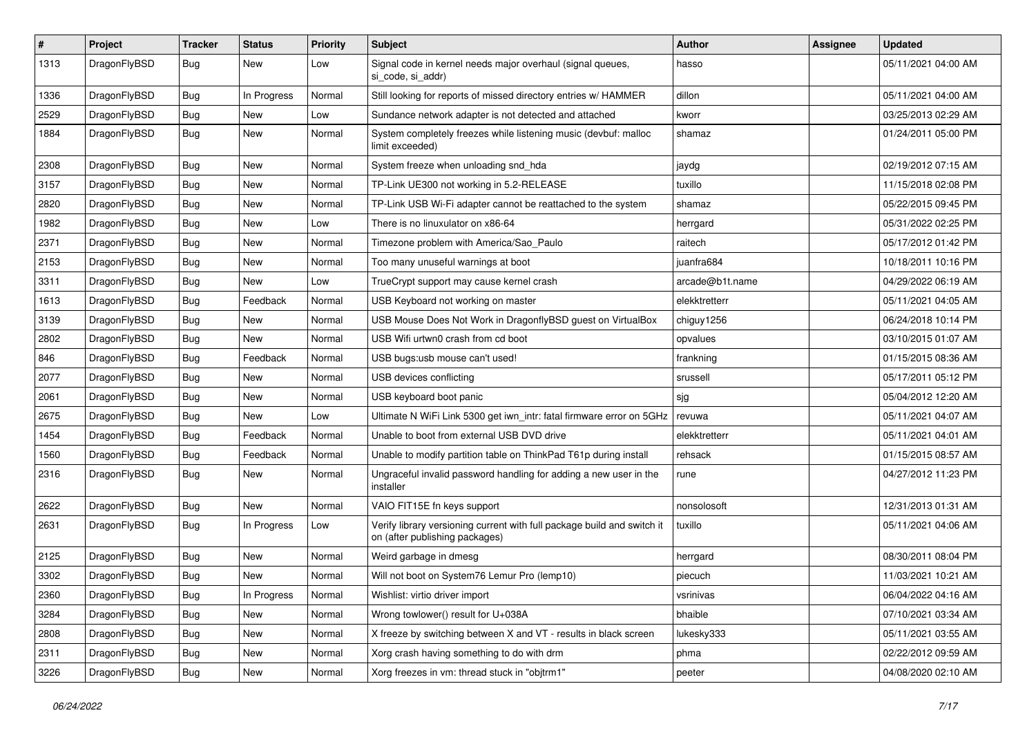| $\sharp$ | Project      | <b>Tracker</b> | <b>Status</b> | <b>Priority</b> | Subject                                                                                                   | <b>Author</b>   | Assignee | <b>Updated</b>      |
|----------|--------------|----------------|---------------|-----------------|-----------------------------------------------------------------------------------------------------------|-----------------|----------|---------------------|
| 1313     | DragonFlyBSD | Bug            | New           | Low             | Signal code in kernel needs major overhaul (signal queues,<br>si code, si addr)                           | hasso           |          | 05/11/2021 04:00 AM |
| 1336     | DragonFlyBSD | Bug            | In Progress   | Normal          | Still looking for reports of missed directory entries w/ HAMMER                                           | dillon          |          | 05/11/2021 04:00 AM |
| 2529     | DragonFlyBSD | <b>Bug</b>     | New           | Low             | Sundance network adapter is not detected and attached                                                     | kworr           |          | 03/25/2013 02:29 AM |
| 1884     | DragonFlyBSD | Bug            | <b>New</b>    | Normal          | System completely freezes while listening music (devbuf: malloc<br>limit exceeded)                        | shamaz          |          | 01/24/2011 05:00 PM |
| 2308     | DragonFlyBSD | Bug            | <b>New</b>    | Normal          | System freeze when unloading snd_hda                                                                      | jaydg           |          | 02/19/2012 07:15 AM |
| 3157     | DragonFlyBSD | Bug            | <b>New</b>    | Normal          | TP-Link UE300 not working in 5.2-RELEASE                                                                  | tuxillo         |          | 11/15/2018 02:08 PM |
| 2820     | DragonFlyBSD | Bug            | <b>New</b>    | Normal          | TP-Link USB Wi-Fi adapter cannot be reattached to the system                                              | shamaz          |          | 05/22/2015 09:45 PM |
| 1982     | DragonFlyBSD | Bug            | <b>New</b>    | Low             | There is no linuxulator on x86-64                                                                         | herrgard        |          | 05/31/2022 02:25 PM |
| 2371     | DragonFlyBSD | Bug            | <b>New</b>    | Normal          | Timezone problem with America/Sao Paulo                                                                   | raitech         |          | 05/17/2012 01:42 PM |
| 2153     | DragonFlyBSD | Bug            | New           | Normal          | Too many unuseful warnings at boot                                                                        | juanfra684      |          | 10/18/2011 10:16 PM |
| 3311     | DragonFlyBSD | Bug            | <b>New</b>    | Low             | TrueCrypt support may cause kernel crash                                                                  | arcade@b1t.name |          | 04/29/2022 06:19 AM |
| 1613     | DragonFlyBSD | Bug            | Feedback      | Normal          | USB Keyboard not working on master                                                                        | elekktretterr   |          | 05/11/2021 04:05 AM |
| 3139     | DragonFlyBSD | Bug            | <b>New</b>    | Normal          | USB Mouse Does Not Work in DragonflyBSD guest on VirtualBox                                               | chiguy1256      |          | 06/24/2018 10:14 PM |
| 2802     | DragonFlyBSD | Bug            | New           | Normal          | USB Wifi urtwn0 crash from cd boot                                                                        | opvalues        |          | 03/10/2015 01:07 AM |
| 846      | DragonFlyBSD | Bug            | Feedback      | Normal          | USB bugs:usb mouse can't used!                                                                            | frankning       |          | 01/15/2015 08:36 AM |
| 2077     | DragonFlyBSD | Bug            | <b>New</b>    | Normal          | USB devices conflicting                                                                                   | srussell        |          | 05/17/2011 05:12 PM |
| 2061     | DragonFlyBSD | Bug            | <b>New</b>    | Normal          | USB keyboard boot panic                                                                                   | sjg             |          | 05/04/2012 12:20 AM |
| 2675     | DragonFlyBSD | Bug            | <b>New</b>    | Low             | Ultimate N WiFi Link 5300 get iwn_intr: fatal firmware error on 5GHz                                      | revuwa          |          | 05/11/2021 04:07 AM |
| 1454     | DragonFlyBSD | Bug            | Feedback      | Normal          | Unable to boot from external USB DVD drive                                                                | elekktretterr   |          | 05/11/2021 04:01 AM |
| 1560     | DragonFlyBSD | <b>Bug</b>     | Feedback      | Normal          | Unable to modify partition table on ThinkPad T61p during install                                          | rehsack         |          | 01/15/2015 08:57 AM |
| 2316     | DragonFlyBSD | Bug            | New           | Normal          | Ungraceful invalid password handling for adding a new user in the<br>installer                            | rune            |          | 04/27/2012 11:23 PM |
| 2622     | DragonFlyBSD | Bug            | New           | Normal          | VAIO FIT15E fn keys support                                                                               | nonsolosoft     |          | 12/31/2013 01:31 AM |
| 2631     | DragonFlyBSD | Bug            | In Progress   | Low             | Verify library versioning current with full package build and switch it<br>on (after publishing packages) | tuxillo         |          | 05/11/2021 04:06 AM |
| 2125     | DragonFlyBSD | Bug            | <b>New</b>    | Normal          | Weird garbage in dmesg                                                                                    | herrgard        |          | 08/30/2011 08:04 PM |
| 3302     | DragonFlyBSD | Bug            | New           | Normal          | Will not boot on System76 Lemur Pro (lemp10)                                                              | piecuch         |          | 11/03/2021 10:21 AM |
| 2360     | DragonFlyBSD | <b>Bug</b>     | In Progress   | Normal          | Wishlist: virtio driver import                                                                            | vsrinivas       |          | 06/04/2022 04:16 AM |
| 3284     | DragonFlyBSD | <b>Bug</b>     | <b>New</b>    | Normal          | Wrong towlower() result for U+038A                                                                        | bhaible         |          | 07/10/2021 03:34 AM |
| 2808     | DragonFlyBSD | <b>Bug</b>     | New           | Normal          | X freeze by switching between X and VT - results in black screen                                          | lukesky333      |          | 05/11/2021 03:55 AM |
| 2311     | DragonFlyBSD | <b>Bug</b>     | New           | Normal          | Xorg crash having something to do with drm                                                                | phma            |          | 02/22/2012 09:59 AM |
| 3226     | DragonFlyBSD | <b>Bug</b>     | New           | Normal          | Xorg freezes in vm: thread stuck in "objtrm1"                                                             | peeter          |          | 04/08/2020 02:10 AM |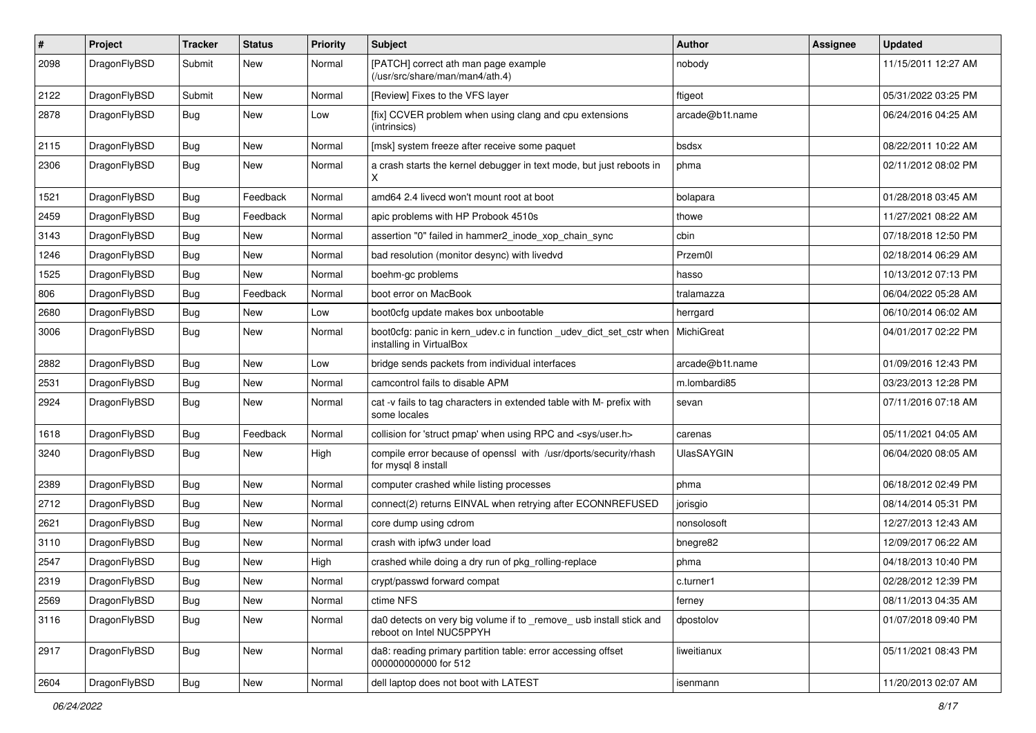| #    | Project      | <b>Tracker</b> | <b>Status</b> | <b>Priority</b> | Subject                                                                                         | Author            | Assignee | <b>Updated</b>      |
|------|--------------|----------------|---------------|-----------------|-------------------------------------------------------------------------------------------------|-------------------|----------|---------------------|
| 2098 | DragonFlyBSD | Submit         | <b>New</b>    | Normal          | [PATCH] correct ath man page example<br>(/usr/src/share/man/man4/ath.4)                         | nobody            |          | 11/15/2011 12:27 AM |
| 2122 | DragonFlyBSD | Submit         | <b>New</b>    | Normal          | [Review] Fixes to the VFS layer                                                                 | ftigeot           |          | 05/31/2022 03:25 PM |
| 2878 | DragonFlyBSD | <b>Bug</b>     | New           | Low             | [fix] CCVER problem when using clang and cpu extensions<br>(intrinsics)                         | arcade@b1t.name   |          | 06/24/2016 04:25 AM |
| 2115 | DragonFlyBSD | Bug            | New           | Normal          | [msk] system freeze after receive some paquet                                                   | bsdsx             |          | 08/22/2011 10:22 AM |
| 2306 | DragonFlyBSD | Bug            | <b>New</b>    | Normal          | a crash starts the kernel debugger in text mode, but just reboots in<br>X                       | phma              |          | 02/11/2012 08:02 PM |
| 1521 | DragonFlyBSD | Bug            | Feedback      | Normal          | amd64 2.4 livecd won't mount root at boot                                                       | bolapara          |          | 01/28/2018 03:45 AM |
| 2459 | DragonFlyBSD | Bug            | Feedback      | Normal          | apic problems with HP Probook 4510s                                                             | thowe             |          | 11/27/2021 08:22 AM |
| 3143 | DragonFlyBSD | Bug            | <b>New</b>    | Normal          | assertion "0" failed in hammer2 inode xop chain sync                                            | cbin              |          | 07/18/2018 12:50 PM |
| 1246 | DragonFlyBSD | Bug            | <b>New</b>    | Normal          | bad resolution (monitor desync) with livedvd                                                    | Przem0l           |          | 02/18/2014 06:29 AM |
| 1525 | DragonFlyBSD | Bug            | <b>New</b>    | Normal          | boehm-gc problems                                                                               | hasso             |          | 10/13/2012 07:13 PM |
| 806  | DragonFlyBSD | <b>Bug</b>     | Feedback      | Normal          | boot error on MacBook                                                                           | tralamazza        |          | 06/04/2022 05:28 AM |
| 2680 | DragonFlyBSD | Bug            | <b>New</b>    | Low             | boot0cfg update makes box unbootable                                                            | herrgard          |          | 06/10/2014 06:02 AM |
| 3006 | DragonFlyBSD | Bug            | <b>New</b>    | Normal          | boot0cfg: panic in kern_udev.c in function _udev_dict_set_cstr when<br>installing in VirtualBox | MichiGreat        |          | 04/01/2017 02:22 PM |
| 2882 | DragonFlyBSD | Bug            | <b>New</b>    | Low             | bridge sends packets from individual interfaces                                                 | arcade@b1t.name   |          | 01/09/2016 12:43 PM |
| 2531 | DragonFlyBSD | Bug            | <b>New</b>    | Normal          | camcontrol fails to disable APM                                                                 | m.lombardi85      |          | 03/23/2013 12:28 PM |
| 2924 | DragonFlyBSD | Bug            | New           | Normal          | cat -v fails to tag characters in extended table with M- prefix with<br>some locales            | sevan             |          | 07/11/2016 07:18 AM |
| 1618 | DragonFlyBSD | Bug            | Feedback      | Normal          | collision for 'struct pmap' when using RPC and <sys user.h=""></sys>                            | carenas           |          | 05/11/2021 04:05 AM |
| 3240 | DragonFlyBSD | Bug            | <b>New</b>    | High            | compile error because of openssl with /usr/dports/security/rhash<br>for mysql 8 install         | <b>UlasSAYGIN</b> |          | 06/04/2020 08:05 AM |
| 2389 | DragonFlyBSD | Bug            | <b>New</b>    | Normal          | computer crashed while listing processes                                                        | phma              |          | 06/18/2012 02:49 PM |
| 2712 | DragonFlyBSD | Bug            | <b>New</b>    | Normal          | connect(2) returns EINVAL when retrying after ECONNREFUSED                                      | jorisgio          |          | 08/14/2014 05:31 PM |
| 2621 | DragonFlyBSD | Bug            | <b>New</b>    | Normal          | core dump using cdrom                                                                           | nonsolosoft       |          | 12/27/2013 12:43 AM |
| 3110 | DragonFlyBSD | Bug            | New           | Normal          | crash with ipfw3 under load                                                                     | bnegre82          |          | 12/09/2017 06:22 AM |
| 2547 | DragonFlyBSD | <b>Bug</b>     | <b>New</b>    | High            | crashed while doing a dry run of pkg_rolling-replace                                            | phma              |          | 04/18/2013 10:40 PM |
| 2319 | DragonFlyBSD | Bug            | New           | Normal          | crypt/passwd forward compat                                                                     | c.turner1         |          | 02/28/2012 12:39 PM |
| 2569 | DragonFlyBSD | <b>Bug</b>     | New           | Normal          | ctime NFS                                                                                       | ferney            |          | 08/11/2013 04:35 AM |
| 3116 | DragonFlyBSD | <b>Bug</b>     | New           | Normal          | da0 detects on very big volume if to _remove_ usb install stick and<br>reboot on Intel NUC5PPYH | dpostolov         |          | 01/07/2018 09:40 PM |
| 2917 | DragonFlyBSD | <b>Bug</b>     | New           | Normal          | da8: reading primary partition table: error accessing offset<br>000000000000 for 512            | liweitianux       |          | 05/11/2021 08:43 PM |
| 2604 | DragonFlyBSD | <b>Bug</b>     | New           | Normal          | dell laptop does not boot with LATEST                                                           | isenmann          |          | 11/20/2013 02:07 AM |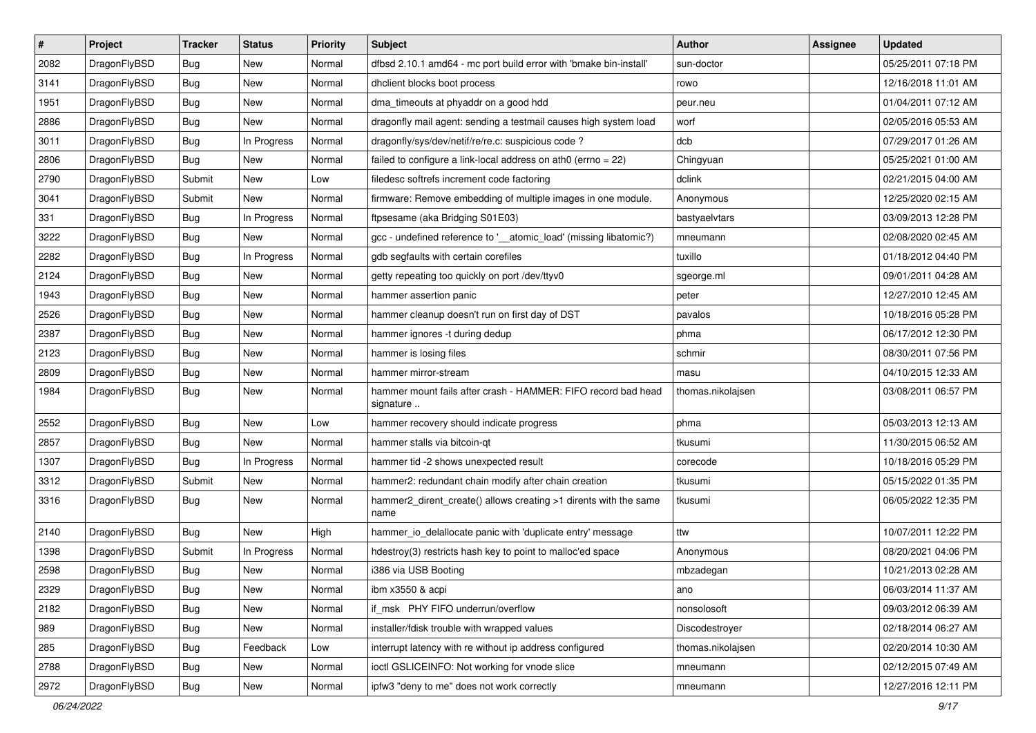| $\pmb{\#}$ | Project      | <b>Tracker</b> | <b>Status</b> | <b>Priority</b> | <b>Subject</b>                                                             | <b>Author</b>     | <b>Assignee</b> | <b>Updated</b>      |
|------------|--------------|----------------|---------------|-----------------|----------------------------------------------------------------------------|-------------------|-----------------|---------------------|
| 2082       | DragonFlyBSD | Bug            | New           | Normal          | dfbsd 2.10.1 amd64 - mc port build error with 'bmake bin-install'          | sun-doctor        |                 | 05/25/2011 07:18 PM |
| 3141       | DragonFlyBSD | Bug            | <b>New</b>    | Normal          | dhclient blocks boot process                                               | rowo              |                 | 12/16/2018 11:01 AM |
| 1951       | DragonFlyBSD | Bug            | <b>New</b>    | Normal          | dma_timeouts at phyaddr on a good hdd                                      | peur.neu          |                 | 01/04/2011 07:12 AM |
| 2886       | DragonFlyBSD | Bug            | New           | Normal          | dragonfly mail agent: sending a testmail causes high system load           | worf              |                 | 02/05/2016 05:53 AM |
| 3011       | DragonFlyBSD | Bug            | In Progress   | Normal          | dragonfly/sys/dev/netif/re/re.c: suspicious code ?                         | dcb               |                 | 07/29/2017 01:26 AM |
| 2806       | DragonFlyBSD | <b>Bug</b>     | New           | Normal          | failed to configure a link-local address on ath0 (errno = 22)              | Chingyuan         |                 | 05/25/2021 01:00 AM |
| 2790       | DragonFlyBSD | Submit         | New           | Low             | filedesc softrefs increment code factoring                                 | dclink            |                 | 02/21/2015 04:00 AM |
| 3041       | DragonFlyBSD | Submit         | New           | Normal          | firmware: Remove embedding of multiple images in one module.               | Anonymous         |                 | 12/25/2020 02:15 AM |
| 331        | DragonFlyBSD | Bug            | In Progress   | Normal          | ftpsesame (aka Bridging S01E03)                                            | bastyaelvtars     |                 | 03/09/2013 12:28 PM |
| 3222       | DragonFlyBSD | Bug            | New           | Normal          | gcc - undefined reference to '__atomic_load' (missing libatomic?)          | mneumann          |                 | 02/08/2020 02:45 AM |
| 2282       | DragonFlyBSD | Bug            | In Progress   | Normal          | gdb segfaults with certain corefiles                                       | tuxillo           |                 | 01/18/2012 04:40 PM |
| 2124       | DragonFlyBSD | <b>Bug</b>     | New           | Normal          | getty repeating too quickly on port /dev/ttyv0                             | sgeorge.ml        |                 | 09/01/2011 04:28 AM |
| 1943       | DragonFlyBSD | Bug            | <b>New</b>    | Normal          | hammer assertion panic                                                     | peter             |                 | 12/27/2010 12:45 AM |
| 2526       | DragonFlyBSD | Bug            | <b>New</b>    | Normal          | hammer cleanup doesn't run on first day of DST                             | pavalos           |                 | 10/18/2016 05:28 PM |
| 2387       | DragonFlyBSD | Bug            | <b>New</b>    | Normal          | hammer ignores -t during dedup                                             | phma              |                 | 06/17/2012 12:30 PM |
| 2123       | DragonFlyBSD | Bug            | <b>New</b>    | Normal          | hammer is losing files                                                     | schmir            |                 | 08/30/2011 07:56 PM |
| 2809       | DragonFlyBSD | <b>Bug</b>     | <b>New</b>    | Normal          | hammer mirror-stream                                                       | masu              |                 | 04/10/2015 12:33 AM |
| 1984       | DragonFlyBSD | Bug            | <b>New</b>    | Normal          | hammer mount fails after crash - HAMMER: FIFO record bad head<br>signature | thomas.nikolajsen |                 | 03/08/2011 06:57 PM |
| 2552       | DragonFlyBSD | Bug            | <b>New</b>    | Low             | hammer recovery should indicate progress                                   | phma              |                 | 05/03/2013 12:13 AM |
| 2857       | DragonFlyBSD | Bug            | New           | Normal          | hammer stalls via bitcoin-qt                                               | tkusumi           |                 | 11/30/2015 06:52 AM |
| 1307       | DragonFlyBSD | Bug            | In Progress   | Normal          | hammer tid -2 shows unexpected result                                      | corecode          |                 | 10/18/2016 05:29 PM |
| 3312       | DragonFlyBSD | Submit         | <b>New</b>    | Normal          | hammer2: redundant chain modify after chain creation                       | tkusumi           |                 | 05/15/2022 01:35 PM |
| 3316       | DragonFlyBSD | <b>Bug</b>     | New           | Normal          | hammer2_dirent_create() allows creating >1 dirents with the same<br>name   | tkusumi           |                 | 06/05/2022 12:35 PM |
| 2140       | DragonFlyBSD | Bug            | <b>New</b>    | High            | hammer_io_delallocate panic with 'duplicate entry' message                 | ttw               |                 | 10/07/2011 12:22 PM |
| 1398       | DragonFlyBSD | Submit         | In Progress   | Normal          | hdestroy(3) restricts hash key to point to malloc'ed space                 | Anonymous         |                 | 08/20/2021 04:06 PM |
| 2598       | DragonFlyBSD | Bug            | New           | Normal          | i386 via USB Booting                                                       | mbzadegan         |                 | 10/21/2013 02:28 AM |
| 2329       | DragonFlyBSD | Bug            | New           | Normal          | ibm x3550 & acpi                                                           | ano               |                 | 06/03/2014 11:37 AM |
| 2182       | DragonFlyBSD | <b>Bug</b>     | New           | Normal          | if_msk PHY FIFO underrun/overflow                                          | nonsolosoft       |                 | 09/03/2012 06:39 AM |
| 989        | DragonFlyBSD | Bug            | New           | Normal          | installer/fdisk trouble with wrapped values                                | Discodestroyer    |                 | 02/18/2014 06:27 AM |
| 285        | DragonFlyBSD | <b>Bug</b>     | Feedback      | Low             | interrupt latency with re without ip address configured                    | thomas.nikolajsen |                 | 02/20/2014 10:30 AM |
| 2788       | DragonFlyBSD | <b>Bug</b>     | New           | Normal          | ioctl GSLICEINFO: Not working for vnode slice                              | mneumann          |                 | 02/12/2015 07:49 AM |
| 2972       | DragonFlyBSD | Bug            | New           | Normal          | ipfw3 "deny to me" does not work correctly                                 | mneumann          |                 | 12/27/2016 12:11 PM |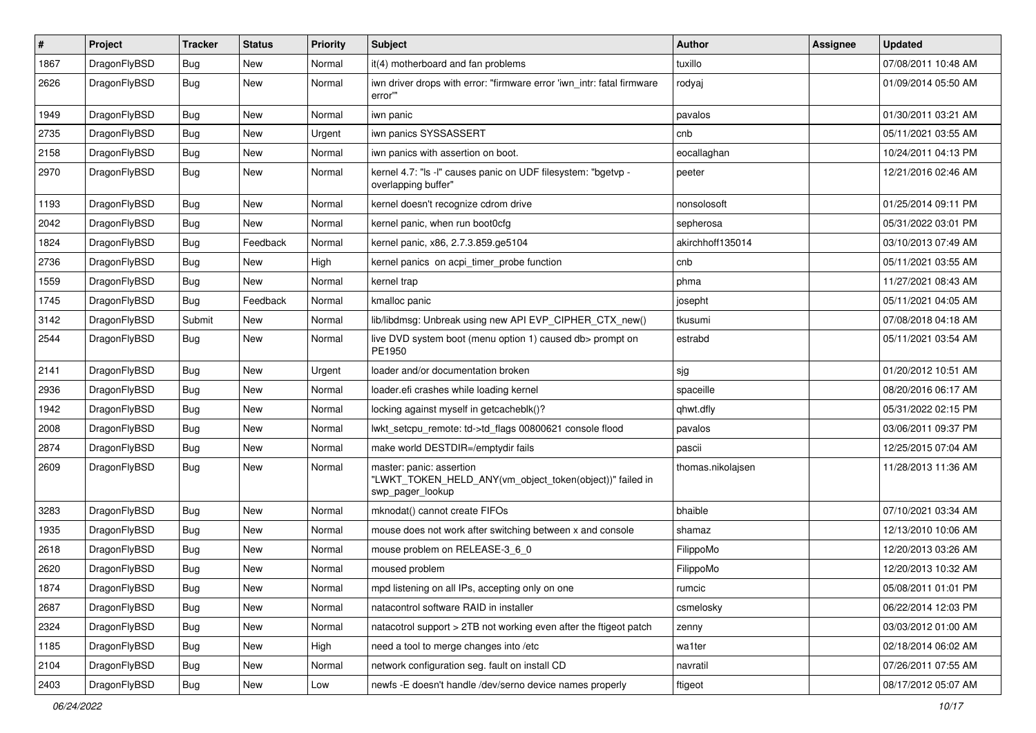| $\pmb{\#}$ | Project      | <b>Tracker</b> | <b>Status</b> | <b>Priority</b> | Subject                                                                                                  | <b>Author</b>     | Assignee | <b>Updated</b>      |
|------------|--------------|----------------|---------------|-----------------|----------------------------------------------------------------------------------------------------------|-------------------|----------|---------------------|
| 1867       | DragonFlyBSD | Bug            | New           | Normal          | it(4) motherboard and fan problems                                                                       | tuxillo           |          | 07/08/2011 10:48 AM |
| 2626       | DragonFlyBSD | Bug            | New           | Normal          | iwn driver drops with error: "firmware error 'iwn_intr: fatal firmware<br>error"                         | rodyaj            |          | 01/09/2014 05:50 AM |
| 1949       | DragonFlyBSD | <b>Bug</b>     | <b>New</b>    | Normal          | iwn panic                                                                                                | pavalos           |          | 01/30/2011 03:21 AM |
| 2735       | DragonFlyBSD | Bug            | <b>New</b>    | Urgent          | iwn panics SYSSASSERT                                                                                    | cnb               |          | 05/11/2021 03:55 AM |
| 2158       | DragonFlyBSD | <b>Bug</b>     | New           | Normal          | iwn panics with assertion on boot.                                                                       | eocallaghan       |          | 10/24/2011 04:13 PM |
| 2970       | DragonFlyBSD | Bug            | New           | Normal          | kernel 4.7: "Is -I" causes panic on UDF filesystem: "bgetvp -<br>overlapping buffer"                     | peeter            |          | 12/21/2016 02:46 AM |
| 1193       | DragonFlyBSD | Bug            | New           | Normal          | kernel doesn't recognize cdrom drive                                                                     | nonsolosoft       |          | 01/25/2014 09:11 PM |
| 2042       | DragonFlyBSD | Bug            | New           | Normal          | kernel panic, when run boot0cfg                                                                          | sepherosa         |          | 05/31/2022 03:01 PM |
| 1824       | DragonFlyBSD | Bug            | Feedback      | Normal          | kernel panic, x86, 2.7.3.859.ge5104                                                                      | akirchhoff135014  |          | 03/10/2013 07:49 AM |
| 2736       | DragonFlyBSD | Bug            | <b>New</b>    | High            | kernel panics on acpi_timer_probe function                                                               | cnb               |          | 05/11/2021 03:55 AM |
| 1559       | DragonFlyBSD | Bug            | <b>New</b>    | Normal          | kernel trap                                                                                              | phma              |          | 11/27/2021 08:43 AM |
| 1745       | DragonFlyBSD | Bug            | Feedback      | Normal          | kmalloc panic                                                                                            | josepht           |          | 05/11/2021 04:05 AM |
| 3142       | DragonFlyBSD | Submit         | <b>New</b>    | Normal          | lib/libdmsg: Unbreak using new API EVP_CIPHER_CTX_new()                                                  | tkusumi           |          | 07/08/2018 04:18 AM |
| 2544       | DragonFlyBSD | Bug            | New           | Normal          | live DVD system boot (menu option 1) caused db> prompt on<br>PE1950                                      | estrabd           |          | 05/11/2021 03:54 AM |
| 2141       | DragonFlyBSD | Bug            | <b>New</b>    | Urgent          | loader and/or documentation broken                                                                       | sjg               |          | 01/20/2012 10:51 AM |
| 2936       | DragonFlyBSD | Bug            | <b>New</b>    | Normal          | loader.efi crashes while loading kernel                                                                  | spaceille         |          | 08/20/2016 06:17 AM |
| 1942       | DragonFlyBSD | Bug            | <b>New</b>    | Normal          | locking against myself in getcacheblk()?                                                                 | qhwt.dfly         |          | 05/31/2022 02:15 PM |
| 2008       | DragonFlyBSD | Bug            | <b>New</b>    | Normal          | lwkt_setcpu_remote: td->td_flags 00800621 console flood                                                  | pavalos           |          | 03/06/2011 09:37 PM |
| 2874       | DragonFlyBSD | Bug            | <b>New</b>    | Normal          | make world DESTDIR=/emptydir fails                                                                       | pascii            |          | 12/25/2015 07:04 AM |
| 2609       | DragonFlyBSD | Bug            | New           | Normal          | master: panic: assertion<br>"LWKT_TOKEN_HELD_ANY(vm_object_token(object))" failed in<br>swp_pager_lookup | thomas.nikolajsen |          | 11/28/2013 11:36 AM |
| 3283       | DragonFlyBSD | Bug            | <b>New</b>    | Normal          | mknodat() cannot create FIFOs                                                                            | bhaible           |          | 07/10/2021 03:34 AM |
| 1935       | DragonFlyBSD | Bug            | New           | Normal          | mouse does not work after switching between x and console                                                | shamaz            |          | 12/13/2010 10:06 AM |
| 2618       | DragonFlyBSD | Bug            | <b>New</b>    | Normal          | mouse problem on RELEASE-3 6 0                                                                           | FilippoMo         |          | 12/20/2013 03:26 AM |
| 2620       | DragonFlyBSD | Bug            | New           | Normal          | moused problem                                                                                           | FilippoMo         |          | 12/20/2013 10:32 AM |
| 1874       | DragonFlyBSD | <b>Bug</b>     | New           | Normal          | mpd listening on all IPs, accepting only on one                                                          | rumcic            |          | 05/08/2011 01:01 PM |
| 2687       | DragonFlyBSD | Bug            | New           | Normal          | natacontrol software RAID in installer                                                                   | csmelosky         |          | 06/22/2014 12:03 PM |
| 2324       | DragonFlyBSD | <b>Bug</b>     | New           | Normal          | natacotrol support > 2TB not working even after the ftigeot patch                                        | zenny             |          | 03/03/2012 01:00 AM |
| 1185       | DragonFlyBSD | <b>Bug</b>     | New           | High            | need a tool to merge changes into /etc                                                                   | wa1ter            |          | 02/18/2014 06:02 AM |
| 2104       | DragonFlyBSD | <b>Bug</b>     | New           | Normal          | network configuration seg. fault on install CD                                                           | navratil          |          | 07/26/2011 07:55 AM |
| 2403       | DragonFlyBSD | Bug            | New           | Low             | newfs -E doesn't handle /dev/serno device names properly                                                 | ftigeot           |          | 08/17/2012 05:07 AM |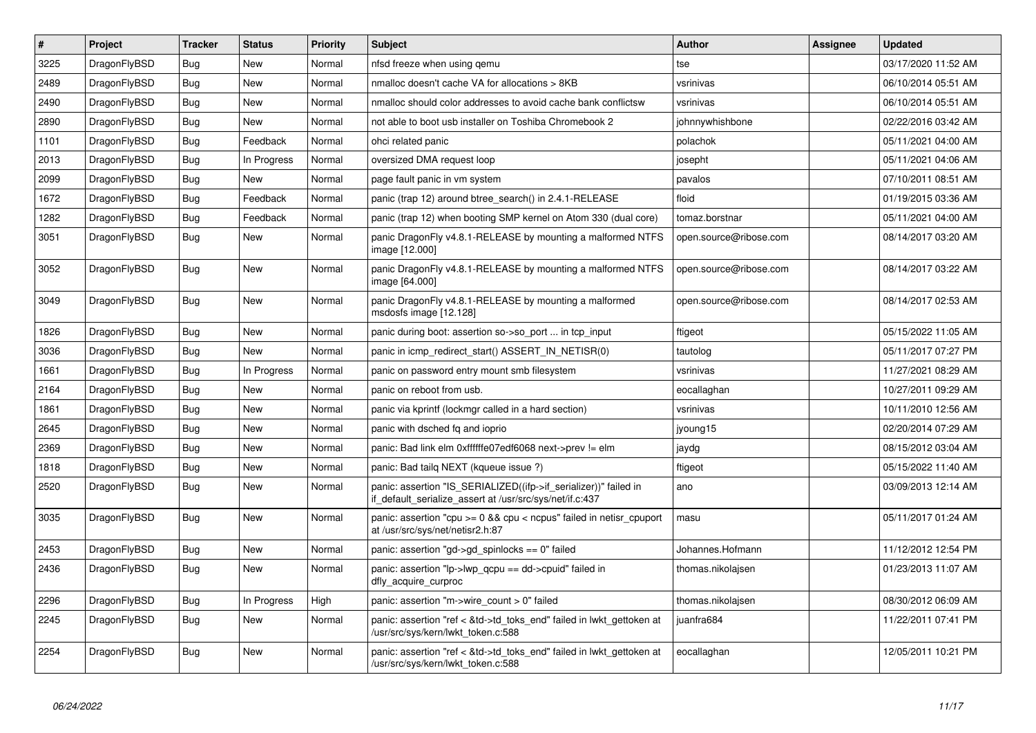| $\vert$ # | <b>Project</b> | <b>Tracker</b> | <b>Status</b> | <b>Priority</b> | <b>Subject</b>                                                                                                               | Author                 | Assignee | <b>Updated</b>      |
|-----------|----------------|----------------|---------------|-----------------|------------------------------------------------------------------------------------------------------------------------------|------------------------|----------|---------------------|
| 3225      | DragonFlyBSD   | Bug            | <b>New</b>    | Normal          | nfsd freeze when using gemu                                                                                                  | tse                    |          | 03/17/2020 11:52 AM |
| 2489      | DragonFlyBSD   | Bug            | <b>New</b>    | Normal          | nmalloc doesn't cache VA for allocations > 8KB                                                                               | vsrinivas              |          | 06/10/2014 05:51 AM |
| 2490      | DragonFlyBSD   | Bug            | New           | Normal          | nmalloc should color addresses to avoid cache bank conflictsw                                                                | vsrinivas              |          | 06/10/2014 05:51 AM |
| 2890      | DragonFlyBSD   | Bug            | New           | Normal          | not able to boot usb installer on Toshiba Chromebook 2                                                                       | johnnywhishbone        |          | 02/22/2016 03:42 AM |
| 1101      | DragonFlyBSD   | Bug            | Feedback      | Normal          | ohci related panic                                                                                                           | polachok               |          | 05/11/2021 04:00 AM |
| 2013      | DragonFlyBSD   | <b>Bug</b>     | In Progress   | Normal          | oversized DMA request loop                                                                                                   | josepht                |          | 05/11/2021 04:06 AM |
| 2099      | DragonFlyBSD   | Bug            | New           | Normal          | page fault panic in vm system                                                                                                | pavalos                |          | 07/10/2011 08:51 AM |
| 1672      | DragonFlyBSD   | Bug            | Feedback      | Normal          | panic (trap 12) around btree_search() in 2.4.1-RELEASE                                                                       | floid                  |          | 01/19/2015 03:36 AM |
| 1282      | DragonFlyBSD   | Bug            | Feedback      | Normal          | panic (trap 12) when booting SMP kernel on Atom 330 (dual core)                                                              | tomaz.borstnar         |          | 05/11/2021 04:00 AM |
| 3051      | DragonFlyBSD   | Bug            | <b>New</b>    | Normal          | panic DragonFly v4.8.1-RELEASE by mounting a malformed NTFS<br>image [12.000]                                                | open.source@ribose.com |          | 08/14/2017 03:20 AM |
| 3052      | DragonFlyBSD   | <b>Bug</b>     | <b>New</b>    | Normal          | panic DragonFly v4.8.1-RELEASE by mounting a malformed NTFS<br>image [64.000]                                                | open.source@ribose.com |          | 08/14/2017 03:22 AM |
| 3049      | DragonFlyBSD   | Bug            | New           | Normal          | panic DragonFly v4.8.1-RELEASE by mounting a malformed<br>msdosfs image [12.128]                                             | open.source@ribose.com |          | 08/14/2017 02:53 AM |
| 1826      | DragonFlyBSD   | Bug            | <b>New</b>    | Normal          | panic during boot: assertion so->so_port  in tcp_input                                                                       | ftigeot                |          | 05/15/2022 11:05 AM |
| 3036      | DragonFlyBSD   | Bug            | New           | Normal          | panic in icmp redirect start() ASSERT IN NETISR(0)                                                                           | tautolog               |          | 05/11/2017 07:27 PM |
| 1661      | DragonFlyBSD   | Bug            | In Progress   | Normal          | panic on password entry mount smb filesystem                                                                                 | vsrinivas              |          | 11/27/2021 08:29 AM |
| 2164      | DragonFlyBSD   | Bug            | <b>New</b>    | Normal          | panic on reboot from usb.                                                                                                    | eocallaghan            |          | 10/27/2011 09:29 AM |
| 1861      | DragonFlyBSD   | Bug            | New           | Normal          | panic via kprintf (lockmgr called in a hard section)                                                                         | vsrinivas              |          | 10/11/2010 12:56 AM |
| 2645      | DragonFlyBSD   | Bug            | New           | Normal          | panic with dsched fq and ioprio                                                                                              | jyoung15               |          | 02/20/2014 07:29 AM |
| 2369      | DragonFlyBSD   | Bug            | New           | Normal          | panic: Bad link elm 0xffffffe07edf6068 next->prev != elm                                                                     | jaydg                  |          | 08/15/2012 03:04 AM |
| 1818      | DragonFlyBSD   | Bug            | New           | Normal          | panic: Bad tailg NEXT (kqueue issue ?)                                                                                       | ftigeot                |          | 05/15/2022 11:40 AM |
| 2520      | DragonFlyBSD   | Bug            | New           | Normal          | panic: assertion "IS_SERIALIZED((ifp->if_serializer))" failed in<br>if default serialize assert at /usr/src/sys/net/if.c:437 | ano                    |          | 03/09/2013 12:14 AM |
| 3035      | DragonFlyBSD   | <b>Bug</b>     | New           | Normal          | panic: assertion "cpu >= 0 && cpu < ncpus" failed in netisr_cpuport<br>at /usr/src/sys/net/netisr2.h:87                      | masu                   |          | 05/11/2017 01:24 AM |
| 2453      | DragonFlyBSD   | Bug            | <b>New</b>    | Normal          | panic: assertion "gd->gd spinlocks == $0$ " failed                                                                           | Johannes.Hofmann       |          | 11/12/2012 12:54 PM |
| 2436      | DragonFlyBSD   | Bug            | New           | Normal          | panic: assertion "lp->lwp_qcpu == dd->cpuid" failed in<br>dfly_acquire_curproc                                               | thomas.nikolajsen      |          | 01/23/2013 11:07 AM |
| 2296      | DragonFlyBSD   | Bug            | In Progress   | High            | panic: assertion "m->wire count > 0" failed                                                                                  | thomas.nikolajsen      |          | 08/30/2012 06:09 AM |
| 2245      | DragonFlyBSD   | <b>Bug</b>     | <b>New</b>    | Normal          | panic: assertion "ref < &td->td_toks_end" failed in lwkt_gettoken at<br>/usr/src/sys/kern/lwkt_token.c:588                   | juanfra684             |          | 11/22/2011 07:41 PM |
| 2254      | DragonFlyBSD   | Bug            | New           | Normal          | panic: assertion "ref < &td->td toks end" failed in lwkt gettoken at<br>/usr/src/sys/kern/lwkt_token.c:588                   | eocallaghan            |          | 12/05/2011 10:21 PM |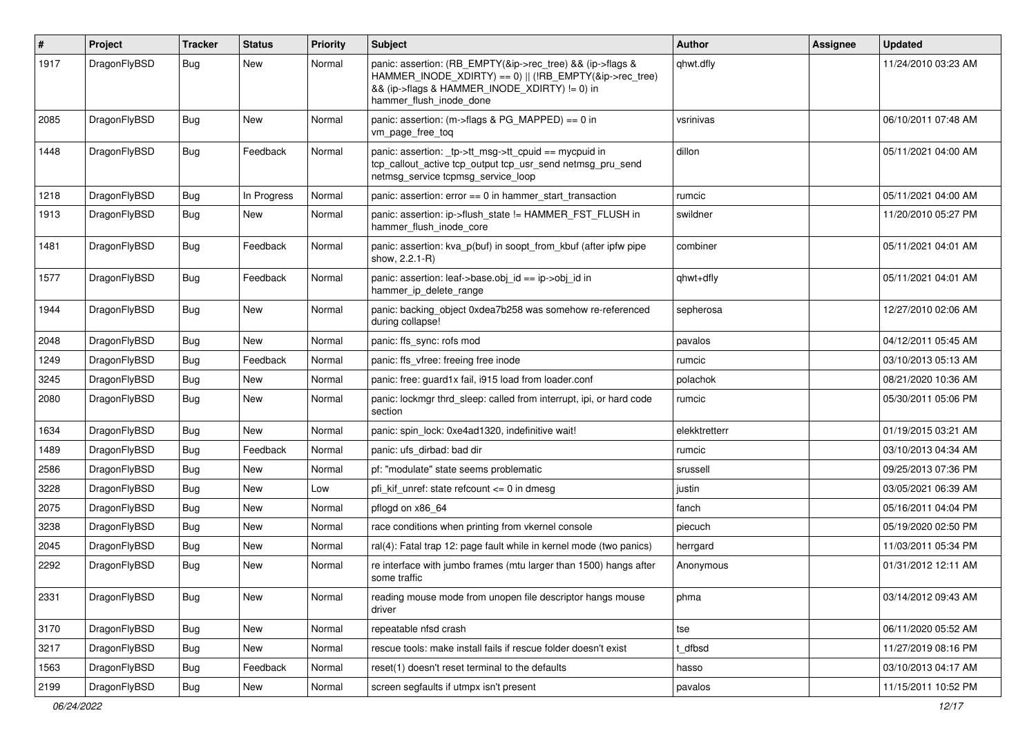| #    | Project      | <b>Tracker</b> | <b>Status</b> | <b>Priority</b> | <b>Subject</b>                                                                                                                                                                                    | Author        | <b>Assignee</b> | <b>Updated</b>      |
|------|--------------|----------------|---------------|-----------------|---------------------------------------------------------------------------------------------------------------------------------------------------------------------------------------------------|---------------|-----------------|---------------------|
| 1917 | DragonFlyBSD | Bug            | New           | Normal          | panic: assertion: (RB_EMPTY(&ip->rec_tree) && (ip->flags &<br>HAMMER_INODE_XDIRTY) == 0)    (!RB_EMPTY(&ip->rec_tree)<br>&& (ip->flags & HAMMER_INODE_XDIRTY) != 0) in<br>hammer flush inode done | qhwt.dfly     |                 | 11/24/2010 03:23 AM |
| 2085 | DragonFlyBSD | Bug            | New           | Normal          | panic: assertion: (m->flags & PG_MAPPED) == 0 in<br>vm_page_free_toq                                                                                                                              | vsrinivas     |                 | 06/10/2011 07:48 AM |
| 1448 | DragonFlyBSD | <b>Bug</b>     | Feedback      | Normal          | panic: assertion: tp->tt_msg->tt_cpuid == mycpuid in<br>tcp_callout_active tcp_output tcp_usr_send netmsg_pru_send<br>netmsg service tcpmsg service loop                                          | dillon        |                 | 05/11/2021 04:00 AM |
| 1218 | DragonFlyBSD | Bug            | In Progress   | Normal          | panic: assertion: error == 0 in hammer_start_transaction                                                                                                                                          | rumcic        |                 | 05/11/2021 04:00 AM |
| 1913 | DragonFlyBSD | Bug            | New           | Normal          | panic: assertion: ip->flush_state != HAMMER_FST_FLUSH in<br>hammer flush inode core                                                                                                               | swildner      |                 | 11/20/2010 05:27 PM |
| 1481 | DragonFlyBSD | Bug            | Feedback      | Normal          | panic: assertion: kva_p(buf) in soopt_from_kbuf (after ipfw pipe<br>show, 2.2.1-R)                                                                                                                | combiner      |                 | 05/11/2021 04:01 AM |
| 1577 | DragonFlyBSD | Bug            | Feedback      | Normal          | panic: assertion: leaf->base.obj_id == ip->obj_id in<br>hammer ip delete range                                                                                                                    | qhwt+dfly     |                 | 05/11/2021 04:01 AM |
| 1944 | DragonFlyBSD | Bug            | <b>New</b>    | Normal          | panic: backing object 0xdea7b258 was somehow re-referenced<br>during collapse!                                                                                                                    | sepherosa     |                 | 12/27/2010 02:06 AM |
| 2048 | DragonFlyBSD | Bug            | <b>New</b>    | Normal          | panic: ffs_sync: rofs mod                                                                                                                                                                         | pavalos       |                 | 04/12/2011 05:45 AM |
| 1249 | DragonFlyBSD | <b>Bug</b>     | Feedback      | Normal          | panic: ffs vfree: freeing free inode                                                                                                                                                              | rumcic        |                 | 03/10/2013 05:13 AM |
| 3245 | DragonFlyBSD | Bug            | <b>New</b>    | Normal          | panic: free: guard1x fail, i915 load from loader.conf                                                                                                                                             | polachok      |                 | 08/21/2020 10:36 AM |
| 2080 | DragonFlyBSD | Bug            | New           | Normal          | panic: lockmgr thrd_sleep: called from interrupt, ipi, or hard code<br>section                                                                                                                    | rumcic        |                 | 05/30/2011 05:06 PM |
| 1634 | DragonFlyBSD | Bug            | <b>New</b>    | Normal          | panic: spin_lock: 0xe4ad1320, indefinitive wait!                                                                                                                                                  | elekktretterr |                 | 01/19/2015 03:21 AM |
| 1489 | DragonFlyBSD | Bug            | Feedback      | Normal          | panic: ufs dirbad: bad dir                                                                                                                                                                        | rumcic        |                 | 03/10/2013 04:34 AM |
| 2586 | DragonFlyBSD | Bug            | <b>New</b>    | Normal          | pf: "modulate" state seems problematic                                                                                                                                                            | srussell      |                 | 09/25/2013 07:36 PM |
| 3228 | DragonFlyBSD | Bug            | <b>New</b>    | Low             | pfi kif unref: state refcount $\leq$ 0 in dmesg                                                                                                                                                   | justin        |                 | 03/05/2021 06:39 AM |
| 2075 | DragonFlyBSD | Bug            | <b>New</b>    | Normal          | pflogd on x86 64                                                                                                                                                                                  | fanch         |                 | 05/16/2011 04:04 PM |
| 3238 | DragonFlyBSD | Bug            | <b>New</b>    | Normal          | race conditions when printing from vkernel console                                                                                                                                                | piecuch       |                 | 05/19/2020 02:50 PM |
| 2045 | DragonFlyBSD | Bug            | New           | Normal          | ral(4): Fatal trap 12: page fault while in kernel mode (two panics)                                                                                                                               | herrgard      |                 | 11/03/2011 05:34 PM |
| 2292 | DragonFlyBSD | Bug            | New           | Normal          | re interface with jumbo frames (mtu larger than 1500) hangs after<br>some traffic                                                                                                                 | Anonymous     |                 | 01/31/2012 12:11 AM |
| 2331 | DragonFlyBSD | <b>Bug</b>     | New           | Normal          | reading mouse mode from unopen file descriptor hangs mouse<br>driver                                                                                                                              | phma          |                 | 03/14/2012 09:43 AM |
| 3170 | DragonFlyBSD | Bug            | New           | Normal          | repeatable nfsd crash                                                                                                                                                                             | tse           |                 | 06/11/2020 05:52 AM |
| 3217 | DragonFlyBSD | Bug            | New           | Normal          | rescue tools: make install fails if rescue folder doesn't exist                                                                                                                                   | t_dfbsd       |                 | 11/27/2019 08:16 PM |
| 1563 | DragonFlyBSD | <b>Bug</b>     | Feedback      | Normal          | reset(1) doesn't reset terminal to the defaults                                                                                                                                                   | hasso         |                 | 03/10/2013 04:17 AM |
| 2199 | DragonFlyBSD | <b>Bug</b>     | New           | Normal          | screen segfaults if utmpx isn't present                                                                                                                                                           | pavalos       |                 | 11/15/2011 10:52 PM |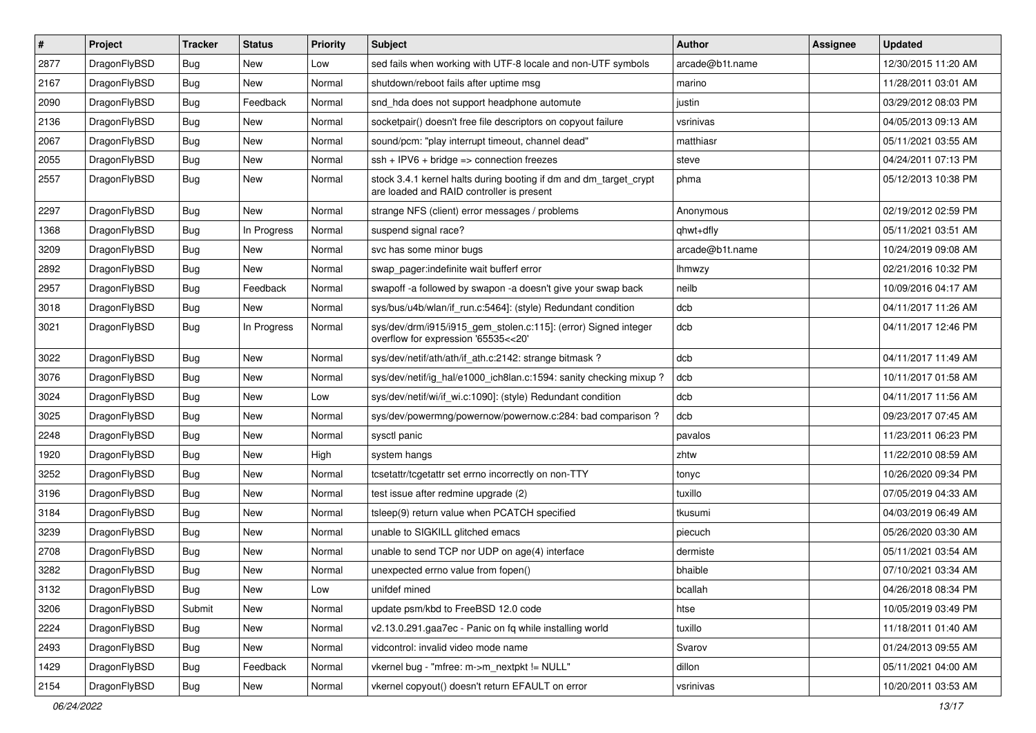| $\pmb{\#}$ | Project      | <b>Tracker</b> | <b>Status</b> | <b>Priority</b> | <b>Subject</b>                                                                                                 | <b>Author</b>   | Assignee | <b>Updated</b>      |
|------------|--------------|----------------|---------------|-----------------|----------------------------------------------------------------------------------------------------------------|-----------------|----------|---------------------|
| 2877       | DragonFlyBSD | <b>Bug</b>     | <b>New</b>    | Low             | sed fails when working with UTF-8 locale and non-UTF symbols                                                   | arcade@b1t.name |          | 12/30/2015 11:20 AM |
| 2167       | DragonFlyBSD | Bug            | <b>New</b>    | Normal          | shutdown/reboot fails after uptime msg                                                                         | marino          |          | 11/28/2011 03:01 AM |
| 2090       | DragonFlyBSD | Bug            | Feedback      | Normal          | snd hda does not support headphone automute                                                                    | justin          |          | 03/29/2012 08:03 PM |
| 2136       | DragonFlyBSD | Bug            | <b>New</b>    | Normal          | socketpair() doesn't free file descriptors on copyout failure                                                  | vsrinivas       |          | 04/05/2013 09:13 AM |
| 2067       | DragonFlyBSD | Bug            | <b>New</b>    | Normal          | sound/pcm: "play interrupt timeout, channel dead"                                                              | matthiasr       |          | 05/11/2021 03:55 AM |
| 2055       | DragonFlyBSD | Bug            | <b>New</b>    | Normal          | $ssh + IPV6 + bridge \Rightarrow connection freezes$                                                           | steve           |          | 04/24/2011 07:13 PM |
| 2557       | DragonFlyBSD | Bug            | <b>New</b>    | Normal          | stock 3.4.1 kernel halts during booting if dm and dm_target_crypt<br>are loaded and RAID controller is present | phma            |          | 05/12/2013 10:38 PM |
| 2297       | DragonFlyBSD | Bug            | <b>New</b>    | Normal          | strange NFS (client) error messages / problems                                                                 | Anonymous       |          | 02/19/2012 02:59 PM |
| 1368       | DragonFlyBSD | Bug            | In Progress   | Normal          | suspend signal race?                                                                                           | qhwt+dfly       |          | 05/11/2021 03:51 AM |
| 3209       | DragonFlyBSD | Bug            | <b>New</b>    | Normal          | svc has some minor bugs                                                                                        | arcade@b1t.name |          | 10/24/2019 09:08 AM |
| 2892       | DragonFlyBSD | Bug            | <b>New</b>    | Normal          | swap pager:indefinite wait bufferf error                                                                       | lhmwzy          |          | 02/21/2016 10:32 PM |
| 2957       | DragonFlyBSD | Bug            | Feedback      | Normal          | swapoff -a followed by swapon -a doesn't give your swap back                                                   | neilb           |          | 10/09/2016 04:17 AM |
| 3018       | DragonFlyBSD | Bug            | New           | Normal          | sys/bus/u4b/wlan/if_run.c:5464]: (style) Redundant condition                                                   | dcb             |          | 04/11/2017 11:26 AM |
| 3021       | DragonFlyBSD | Bug            | In Progress   | Normal          | sys/dev/drm/i915/i915_gem_stolen.c:115]: (error) Signed integer<br>overflow for expression '65535<<20'         | dcb             |          | 04/11/2017 12:46 PM |
| 3022       | DragonFlyBSD | Bug            | <b>New</b>    | Normal          | sys/dev/netif/ath/ath/if_ath.c:2142: strange bitmask?                                                          | dcb             |          | 04/11/2017 11:49 AM |
| 3076       | DragonFlyBSD | Bug            | <b>New</b>    | Normal          | sys/dev/netif/ig_hal/e1000_ich8lan.c:1594: sanity checking mixup?                                              | dcb             |          | 10/11/2017 01:58 AM |
| 3024       | DragonFlyBSD | Bug            | <b>New</b>    | Low             | sys/dev/netif/wi/if_wi.c:1090]: (style) Redundant condition                                                    | dcb             |          | 04/11/2017 11:56 AM |
| 3025       | DragonFlyBSD | Bug            | <b>New</b>    | Normal          | sys/dev/powermng/powernow/powernow.c:284: bad comparison ?                                                     | dcb             |          | 09/23/2017 07:45 AM |
| 2248       | DragonFlyBSD | Bug            | <b>New</b>    | Normal          | sysctl panic                                                                                                   | pavalos         |          | 11/23/2011 06:23 PM |
| 1920       | DragonFlyBSD | Bug            | New           | High            | system hangs                                                                                                   | zhtw            |          | 11/22/2010 08:59 AM |
| 3252       | DragonFlyBSD | Bug            | <b>New</b>    | Normal          | tcsetattr/tcgetattr set errno incorrectly on non-TTY                                                           | tonyc           |          | 10/26/2020 09:34 PM |
| 3196       | DragonFlyBSD | Bug            | New           | Normal          | test issue after redmine upgrade (2)                                                                           | tuxillo         |          | 07/05/2019 04:33 AM |
| 3184       | DragonFlyBSD | <b>Bug</b>     | <b>New</b>    | Normal          | tsleep(9) return value when PCATCH specified                                                                   | tkusumi         |          | 04/03/2019 06:49 AM |
| 3239       | DragonFlyBSD | Bug            | <b>New</b>    | Normal          | unable to SIGKILL glitched emacs                                                                               | piecuch         |          | 05/26/2020 03:30 AM |
| 2708       | DragonFlyBSD | Bug            | New           | Normal          | unable to send TCP nor UDP on age(4) interface                                                                 | dermiste        |          | 05/11/2021 03:54 AM |
| 3282       | DragonFlyBSD | Bug            | <b>New</b>    | Normal          | unexpected errno value from fopen()                                                                            | bhaible         |          | 07/10/2021 03:34 AM |
| 3132       | DragonFlyBSD | Bug            | New           | Low             | unifdef mined                                                                                                  | bcallah         |          | 04/26/2018 08:34 PM |
| 3206       | DragonFlyBSD | Submit         | New           | Normal          | update psm/kbd to FreeBSD 12.0 code                                                                            | htse            |          | 10/05/2019 03:49 PM |
| 2224       | DragonFlyBSD | Bug            | New           | Normal          | v2.13.0.291.gaa7ec - Panic on fq while installing world                                                        | tuxillo         |          | 11/18/2011 01:40 AM |
| 2493       | DragonFlyBSD | Bug            | New           | Normal          | vidcontrol: invalid video mode name                                                                            | Svarov          |          | 01/24/2013 09:55 AM |
| 1429       | DragonFlyBSD | <b>Bug</b>     | Feedback      | Normal          | vkernel bug - "mfree: m->m_nextpkt != NULL"                                                                    | dillon          |          | 05/11/2021 04:00 AM |
| 2154       | DragonFlyBSD | Bug            | New           | Normal          | vkernel copyout() doesn't return EFAULT on error                                                               | vsrinivas       |          | 10/20/2011 03:53 AM |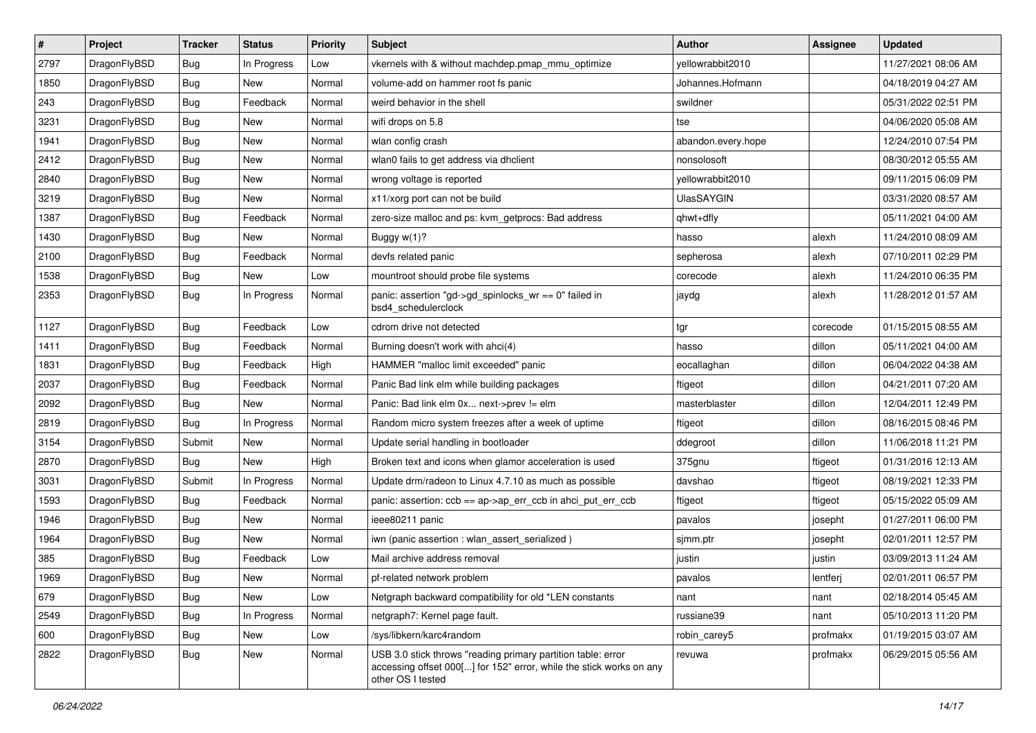| $\sharp$ | Project      | <b>Tracker</b> | <b>Status</b> | <b>Priority</b> | Subject                                                                                                                                                  | <b>Author</b>      | <b>Assignee</b> | <b>Updated</b>      |
|----------|--------------|----------------|---------------|-----------------|----------------------------------------------------------------------------------------------------------------------------------------------------------|--------------------|-----------------|---------------------|
| 2797     | DragonFlyBSD | <b>Bug</b>     | In Progress   | Low             | vkernels with & without machdep.pmap_mmu_optimize                                                                                                        | yellowrabbit2010   |                 | 11/27/2021 08:06 AM |
| 1850     | DragonFlyBSD | Bug            | New           | Normal          | volume-add on hammer root fs panic                                                                                                                       | Johannes.Hofmann   |                 | 04/18/2019 04:27 AM |
| 243      | DragonFlyBSD | <b>Bug</b>     | Feedback      | Normal          | weird behavior in the shell                                                                                                                              | swildner           |                 | 05/31/2022 02:51 PM |
| 3231     | DragonFlyBSD | <b>Bug</b>     | New           | Normal          | wifi drops on 5.8                                                                                                                                        | tse                |                 | 04/06/2020 05:08 AM |
| 1941     | DragonFlyBSD | Bug            | <b>New</b>    | Normal          | wlan config crash                                                                                                                                        | abandon.every.hope |                 | 12/24/2010 07:54 PM |
| 2412     | DragonFlyBSD | Bug            | New           | Normal          | wlan0 fails to get address via dhclient                                                                                                                  | nonsolosoft        |                 | 08/30/2012 05:55 AM |
| 2840     | DragonFlyBSD | Bug            | New           | Normal          | wrong voltage is reported                                                                                                                                | yellowrabbit2010   |                 | 09/11/2015 06:09 PM |
| 3219     | DragonFlyBSD | <b>Bug</b>     | New           | Normal          | x11/xorg port can not be build                                                                                                                           | <b>UlasSAYGIN</b>  |                 | 03/31/2020 08:57 AM |
| 1387     | DragonFlyBSD | <b>Bug</b>     | Feedback      | Normal          | zero-size malloc and ps: kvm getprocs: Bad address                                                                                                       | qhwt+dfly          |                 | 05/11/2021 04:00 AM |
| 1430     | DragonFlyBSD | Bug            | New           | Normal          | Buggy $w(1)$ ?                                                                                                                                           | hasso              | alexh           | 11/24/2010 08:09 AM |
| 2100     | DragonFlyBSD | <b>Bug</b>     | Feedback      | Normal          | devfs related panic                                                                                                                                      | sepherosa          | alexh           | 07/10/2011 02:29 PM |
| 1538     | DragonFlyBSD | Bug            | <b>New</b>    | Low             | mountroot should probe file systems                                                                                                                      | corecode           | alexh           | 11/24/2010 06:35 PM |
| 2353     | DragonFlyBSD | Bug            | In Progress   | Normal          | panic: assertion "gd->gd_spinlocks_wr == 0" failed in<br>bsd4_schedulerclock                                                                             | jaydg              | alexh           | 11/28/2012 01:57 AM |
| 1127     | DragonFlyBSD | Bug            | Feedback      | Low             | cdrom drive not detected                                                                                                                                 | tgr                | corecode        | 01/15/2015 08:55 AM |
| 1411     | DragonFlyBSD | <b>Bug</b>     | Feedback      | Normal          | Burning doesn't work with ahci(4)                                                                                                                        | hasso              | dillon          | 05/11/2021 04:00 AM |
| 1831     | DragonFlyBSD | <b>Bug</b>     | Feedback      | High            | HAMMER "malloc limit exceeded" panic                                                                                                                     | eocallaghan        | dillon          | 06/04/2022 04:38 AM |
| 2037     | DragonFlyBSD | Bug            | Feedback      | Normal          | Panic Bad link elm while building packages                                                                                                               | ftigeot            | dillon          | 04/21/2011 07:20 AM |
| 2092     | DragonFlyBSD | <b>Bug</b>     | New           | Normal          | Panic: Bad link elm 0x next->prev != elm                                                                                                                 | masterblaster      | dillon          | 12/04/2011 12:49 PM |
| 2819     | DragonFlyBSD | Bug            | In Progress   | Normal          | Random micro system freezes after a week of uptime                                                                                                       | ftigeot            | dillon          | 08/16/2015 08:46 PM |
| 3154     | DragonFlyBSD | Submit         | New           | Normal          | Update serial handling in bootloader                                                                                                                     | ddegroot           | dillon          | 11/06/2018 11:21 PM |
| 2870     | DragonFlyBSD | Bug            | <b>New</b>    | High            | Broken text and icons when glamor acceleration is used                                                                                                   | 375gnu             | ftigeot         | 01/31/2016 12:13 AM |
| 3031     | DragonFlyBSD | Submit         | In Progress   | Normal          | Update drm/radeon to Linux 4.7.10 as much as possible                                                                                                    | davshao            | ftigeot         | 08/19/2021 12:33 PM |
| 1593     | DragonFlyBSD | <b>Bug</b>     | Feedback      | Normal          | panic: assertion: $\cosh ==$ ap- $\gt$ ap err $\cosh$ in ahci put err $\cosh$                                                                            | ftigeot            | ftigeot         | 05/15/2022 05:09 AM |
| 1946     | DragonFlyBSD | <b>Bug</b>     | New           | Normal          | ieee80211 panic                                                                                                                                          | pavalos            | josepht         | 01/27/2011 06:00 PM |
| 1964     | DragonFlyBSD | <b>Bug</b>     | New           | Normal          | iwn (panic assertion : wlan_assert_serialized)                                                                                                           | sjmm.ptr           | josepht         | 02/01/2011 12:57 PM |
| 385      | DragonFlyBSD | <b>Bug</b>     | Feedback      | Low             | Mail archive address removal                                                                                                                             | justin             | justin          | 03/09/2013 11:24 AM |
| 1969     | DragonFlyBSD | <b>Bug</b>     | New           | Normal          | pf-related network problem                                                                                                                               | pavalos            | lentferj        | 02/01/2011 06:57 PM |
| 679      | DragonFlyBSD | <b>Bug</b>     | New           | Low             | Netgraph backward compatibility for old *LEN constants                                                                                                   | nant               | nant            | 02/18/2014 05:45 AM |
| 2549     | DragonFlyBSD | <b>Bug</b>     | In Progress   | Normal          | netgraph7: Kernel page fault.                                                                                                                            | russiane39         | nant            | 05/10/2013 11:20 PM |
| 600      | DragonFlyBSD | <b>Bug</b>     | New           | Low             | /sys/libkern/karc4random                                                                                                                                 | robin_carey5       | profmakx        | 01/19/2015 03:07 AM |
| 2822     | DragonFlyBSD | <b>Bug</b>     | New           | Normal          | USB 3.0 stick throws "reading primary partition table: error<br>accessing offset 000[] for 152" error, while the stick works on any<br>other OS I tested | revuwa             | profmakx        | 06/29/2015 05:56 AM |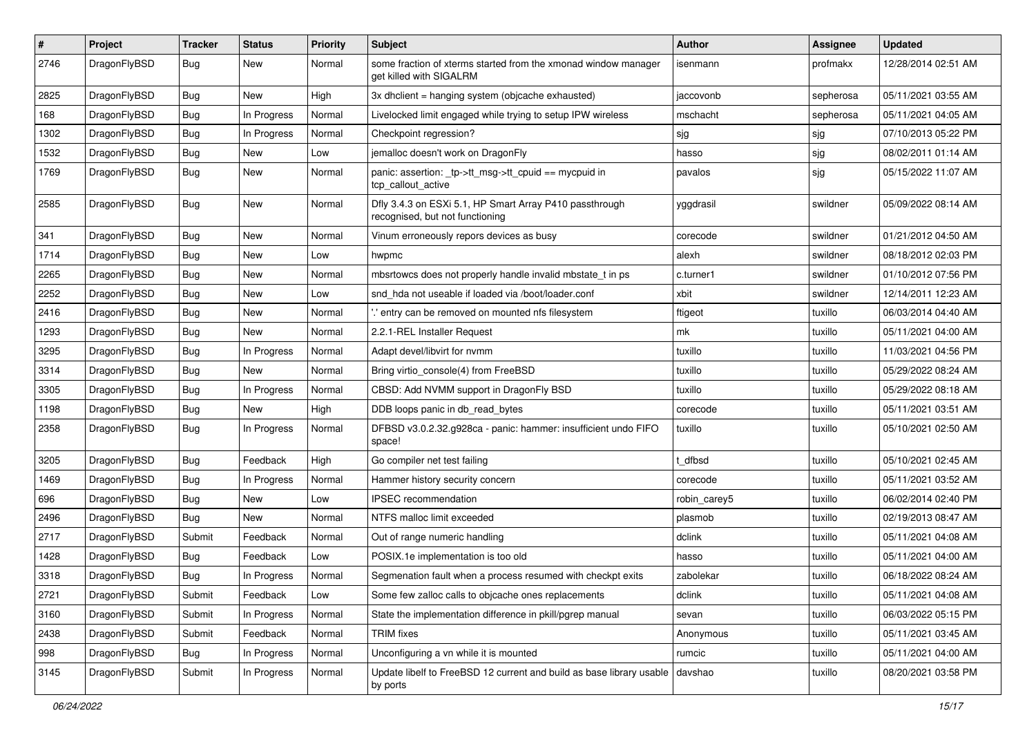| $\#$ | Project      | <b>Tracker</b> | <b>Status</b> | <b>Priority</b> | <b>Subject</b>                                                                             | <b>Author</b> | Assignee  | <b>Updated</b>      |
|------|--------------|----------------|---------------|-----------------|--------------------------------------------------------------------------------------------|---------------|-----------|---------------------|
| 2746 | DragonFlyBSD | Bug            | New           | Normal          | some fraction of xterms started from the xmonad window manager<br>aet killed with SIGALRM  | isenmann      | profmakx  | 12/28/2014 02:51 AM |
| 2825 | DragonFlyBSD | Bug            | New           | High            | 3x dholient = hanging system (objoache exhausted)                                          | jaccovonb     | sepherosa | 05/11/2021 03:55 AM |
| 168  | DragonFlyBSD | Bug            | In Progress   | Normal          | Livelocked limit engaged while trying to setup IPW wireless                                | mschacht      | sepherosa | 05/11/2021 04:05 AM |
| 1302 | DragonFlyBSD | Bug            | In Progress   | Normal          | Checkpoint regression?                                                                     | sjg           | sjg       | 07/10/2013 05:22 PM |
| 1532 | DragonFlyBSD | Bug            | New           | Low             | jemalloc doesn't work on DragonFly                                                         | hasso         | sjg       | 08/02/2011 01:14 AM |
| 1769 | DragonFlyBSD | Bug            | New           | Normal          | panic: assertion: _tp->tt_msg->tt_cpuid == mycpuid in<br>tcp callout active                | pavalos       | sjg       | 05/15/2022 11:07 AM |
| 2585 | DragonFlyBSD | Bug            | <b>New</b>    | Normal          | Dfly 3.4.3 on ESXi 5.1, HP Smart Array P410 passthrough<br>recognised, but not functioning | yggdrasil     | swildner  | 05/09/2022 08:14 AM |
| 341  | DragonFlyBSD | Bug            | New           | Normal          | Vinum erroneously repors devices as busy                                                   | corecode      | swildner  | 01/21/2012 04:50 AM |
| 1714 | DragonFlyBSD | Bug            | New           | Low             | hwpmc                                                                                      | alexh         | swildner  | 08/18/2012 02:03 PM |
| 2265 | DragonFlyBSD | Bug            | <b>New</b>    | Normal          | mbsrtowcs does not properly handle invalid mbstate t in ps                                 | c.turner1     | swildner  | 01/10/2012 07:56 PM |
| 2252 | DragonFlyBSD | Bug            | New           | Low             | snd hda not useable if loaded via /boot/loader.conf                                        | xbit          | swildner  | 12/14/2011 12:23 AM |
| 2416 | DragonFlyBSD | <b>Bug</b>     | New           | Normal          | ".' entry can be removed on mounted nfs filesystem                                         | ftigeot       | tuxillo   | 06/03/2014 04:40 AM |
| 1293 | DragonFlyBSD | Bug            | New           | Normal          | 2.2.1-REL Installer Request                                                                | mk            | tuxillo   | 05/11/2021 04:00 AM |
| 3295 | DragonFlyBSD | Bug            | In Progress   | Normal          | Adapt devel/libvirt for nvmm                                                               | tuxillo       | tuxillo   | 11/03/2021 04:56 PM |
| 3314 | DragonFlyBSD | Bug            | New           | Normal          | Bring virtio console(4) from FreeBSD                                                       | tuxillo       | tuxillo   | 05/29/2022 08:24 AM |
| 3305 | DragonFlyBSD | <b>Bug</b>     | In Progress   | Normal          | CBSD: Add NVMM support in DragonFly BSD                                                    | tuxillo       | tuxillo   | 05/29/2022 08:18 AM |
| 1198 | DragonFlyBSD | <b>Bug</b>     | New           | High            | DDB loops panic in db read bytes                                                           | corecode      | tuxillo   | 05/11/2021 03:51 AM |
| 2358 | DragonFlyBSD | <b>Bug</b>     | In Progress   | Normal          | DFBSD v3.0.2.32.g928ca - panic: hammer: insufficient undo FIFO<br>space!                   | tuxillo       | tuxillo   | 05/10/2021 02:50 AM |
| 3205 | DragonFlyBSD | <b>Bug</b>     | Feedback      | High            | Go compiler net test failing                                                               | dfbsd         | tuxillo   | 05/10/2021 02:45 AM |
| 1469 | DragonFlyBSD | Bug            | In Progress   | Normal          | Hammer history security concern                                                            | corecode      | tuxillo   | 05/11/2021 03:52 AM |
| 696  | DragonFlyBSD | <b>Bug</b>     | New           | Low             | <b>IPSEC</b> recommendation                                                                | robin carey5  | tuxillo   | 06/02/2014 02:40 PM |
| 2496 | DragonFlyBSD | Bug            | New           | Normal          | NTFS malloc limit exceeded                                                                 | plasmob       | tuxillo   | 02/19/2013 08:47 AM |
| 2717 | DragonFlyBSD | Submit         | Feedback      | Normal          | Out of range numeric handling                                                              | dclink        | tuxillo   | 05/11/2021 04:08 AM |
| 1428 | DragonFlyBSD | <b>Bug</b>     | Feedback      | Low             | POSIX.1e implementation is too old                                                         | hasso         | tuxillo   | 05/11/2021 04:00 AM |
| 3318 | DragonFlyBSD | <b>Bug</b>     | In Progress   | Normal          | Segmenation fault when a process resumed with checkpt exits                                | zabolekar     | tuxillo   | 06/18/2022 08:24 AM |
| 2721 | DragonFlyBSD | Submit         | Feedback      | Low             | Some few zalloc calls to objcache ones replacements                                        | dclink        | tuxillo   | 05/11/2021 04:08 AM |
| 3160 | DragonFlyBSD | Submit         | In Progress   | Normal          | State the implementation difference in pkill/pgrep manual                                  | sevan         | tuxillo   | 06/03/2022 05:15 PM |
| 2438 | DragonFlyBSD | Submit         | Feedback      | Normal          | <b>TRIM</b> fixes                                                                          | Anonymous     | tuxillo   | 05/11/2021 03:45 AM |
| 998  | DragonFlyBSD | Bug            | In Progress   | Normal          | Unconfiguring a vn while it is mounted                                                     | rumcic        | tuxillo   | 05/11/2021 04:00 AM |
| 3145 | DragonFlyBSD | Submit         | In Progress   | Normal          | Update libelf to FreeBSD 12 current and build as base library usable<br>by ports           | davshao       | tuxillo   | 08/20/2021 03:58 PM |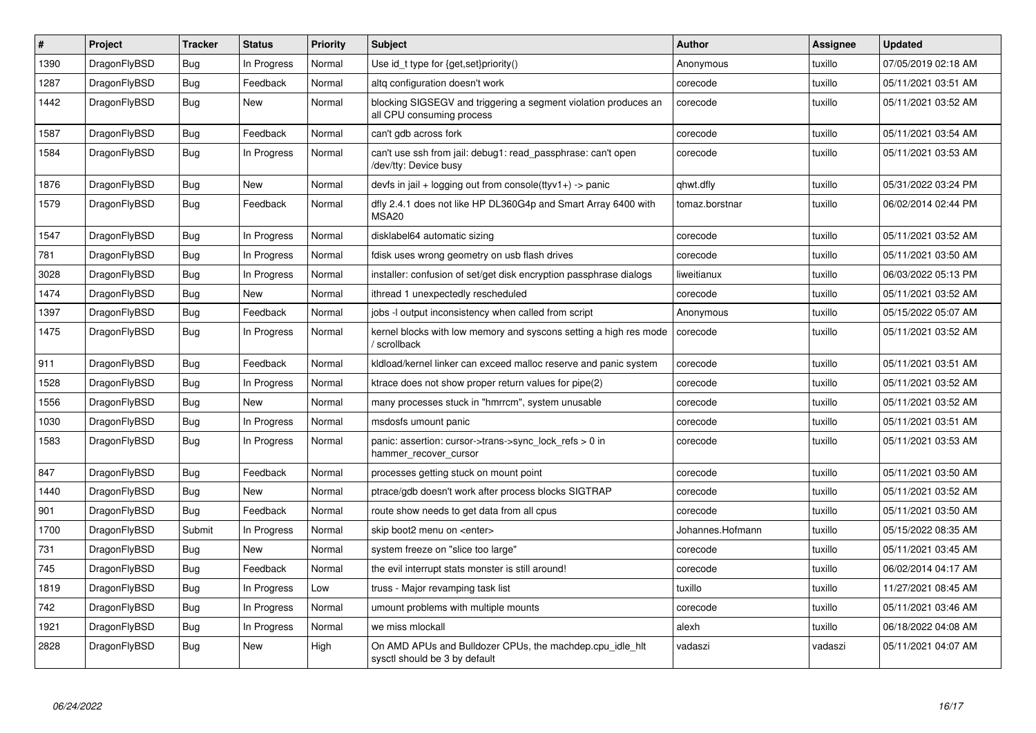| $\vert$ # | Project      | <b>Tracker</b> | <b>Status</b> | <b>Priority</b> | <b>Subject</b>                                                                               | <b>Author</b>    | Assignee | <b>Updated</b>      |
|-----------|--------------|----------------|---------------|-----------------|----------------------------------------------------------------------------------------------|------------------|----------|---------------------|
| 1390      | DragonFlyBSD | Bug            | In Progress   | Normal          | Use id_t type for {get,set}priority()                                                        | Anonymous        | tuxillo  | 07/05/2019 02:18 AM |
| 1287      | DragonFlyBSD | Bug            | Feedback      | Normal          | altg configuration doesn't work                                                              | corecode         | tuxillo  | 05/11/2021 03:51 AM |
| 1442      | DragonFlyBSD | Bug            | <b>New</b>    | Normal          | blocking SIGSEGV and triggering a segment violation produces an<br>all CPU consuming process | corecode         | tuxillo  | 05/11/2021 03:52 AM |
| 1587      | DragonFlyBSD | Bug            | Feedback      | Normal          | can't gdb across fork                                                                        | corecode         | tuxillo  | 05/11/2021 03:54 AM |
| 1584      | DragonFlyBSD | Bug            | In Progress   | Normal          | can't use ssh from jail: debug1: read passphrase: can't open<br>/dev/tty: Device busy        | corecode         | tuxillo  | 05/11/2021 03:53 AM |
| 1876      | DragonFlyBSD | Bug            | New           | Normal          | devfs in jail + logging out from console(ttyv1+) -> panic                                    | qhwt.dfly        | tuxillo  | 05/31/2022 03:24 PM |
| 1579      | DragonFlyBSD | Bug            | Feedback      | Normal          | dfly 2.4.1 does not like HP DL360G4p and Smart Array 6400 with<br>MSA20                      | tomaz.borstnar   | tuxillo  | 06/02/2014 02:44 PM |
| 1547      | DragonFlyBSD | Bug            | In Progress   | Normal          | disklabel64 automatic sizing                                                                 | corecode         | tuxillo  | 05/11/2021 03:52 AM |
| 781       | DragonFlyBSD | <b>Bug</b>     | In Progress   | Normal          | fdisk uses wrong geometry on usb flash drives                                                | corecode         | tuxillo  | 05/11/2021 03:50 AM |
| 3028      | DragonFlyBSD | Bug            | In Progress   | Normal          | installer: confusion of set/get disk encryption passphrase dialogs                           | liweitianux      | tuxillo  | 06/03/2022 05:13 PM |
| 1474      | DragonFlyBSD | <b>Bug</b>     | <b>New</b>    | Normal          | ithread 1 unexpectedly rescheduled                                                           | corecode         | tuxillo  | 05/11/2021 03:52 AM |
| 1397      | DragonFlyBSD | Bug            | Feedback      | Normal          | jobs -I output inconsistency when called from script                                         | Anonymous        | tuxillo  | 05/15/2022 05:07 AM |
| 1475      | DragonFlyBSD | Bug            | In Progress   | Normal          | kernel blocks with low memory and syscons setting a high res mode<br>/ scrollback            | corecode         | tuxillo  | 05/11/2021 03:52 AM |
| 911       | DragonFlyBSD | <b>Bug</b>     | Feedback      | Normal          | kldload/kernel linker can exceed malloc reserve and panic system                             | corecode         | tuxillo  | 05/11/2021 03:51 AM |
| 1528      | DragonFlyBSD | Bug            | In Progress   | Normal          | ktrace does not show proper return values for pipe(2)                                        | corecode         | tuxillo  | 05/11/2021 03:52 AM |
| 1556      | DragonFlyBSD | Bug            | <b>New</b>    | Normal          | many processes stuck in "hmrrcm", system unusable                                            | corecode         | tuxillo  | 05/11/2021 03:52 AM |
| 1030      | DragonFlyBSD | Bug            | In Progress   | Normal          | msdosfs umount panic                                                                         | corecode         | tuxillo  | 05/11/2021 03:51 AM |
| 1583      | DragonFlyBSD | <b>Bug</b>     | In Progress   | Normal          | panic: assertion: cursor->trans->sync_lock_refs > 0 in<br>hammer recover cursor              | corecode         | tuxillo  | 05/11/2021 03:53 AM |
| 847       | DragonFlyBSD | <b>Bug</b>     | Feedback      | Normal          | processes getting stuck on mount point                                                       | corecode         | tuxillo  | 05/11/2021 03:50 AM |
| 1440      | DragonFlyBSD | Bug            | New           | Normal          | ptrace/gdb doesn't work after process blocks SIGTRAP                                         | corecode         | tuxillo  | 05/11/2021 03:52 AM |
| 901       | DragonFlyBSD | Bug            | Feedback      | Normal          | route show needs to get data from all cpus                                                   | corecode         | tuxillo  | 05/11/2021 03:50 AM |
| 1700      | DragonFlyBSD | Submit         | In Progress   | Normal          | skip boot2 menu on <enter></enter>                                                           | Johannes.Hofmann | tuxillo  | 05/15/2022 08:35 AM |
| 731       | DragonFlyBSD | <b>Bug</b>     | <b>New</b>    | Normal          | system freeze on "slice too large"                                                           | corecode         | tuxillo  | 05/11/2021 03:45 AM |
| 745       | DragonFlyBSD | Bug            | Feedback      | Normal          | the evil interrupt stats monster is still around!                                            | corecode         | tuxillo  | 06/02/2014 04:17 AM |
| 1819      | DragonFlyBSD | Bug            | In Progress   | Low             | truss - Major revamping task list                                                            | tuxillo          | tuxillo  | 11/27/2021 08:45 AM |
| 742       | DragonFlyBSD | Bug            | In Progress   | Normal          | umount problems with multiple mounts                                                         | corecode         | tuxillo  | 05/11/2021 03:46 AM |
| 1921      | DragonFlyBSD | Bug            | In Progress   | Normal          | we miss mlockall                                                                             | alexh            | tuxillo  | 06/18/2022 04:08 AM |
| 2828      | DragonFlyBSD | Bug            | New           | High            | On AMD APUs and Bulldozer CPUs, the machdep.cpu idle hit<br>sysctl should be 3 by default    | vadaszi          | vadaszi  | 05/11/2021 04:07 AM |